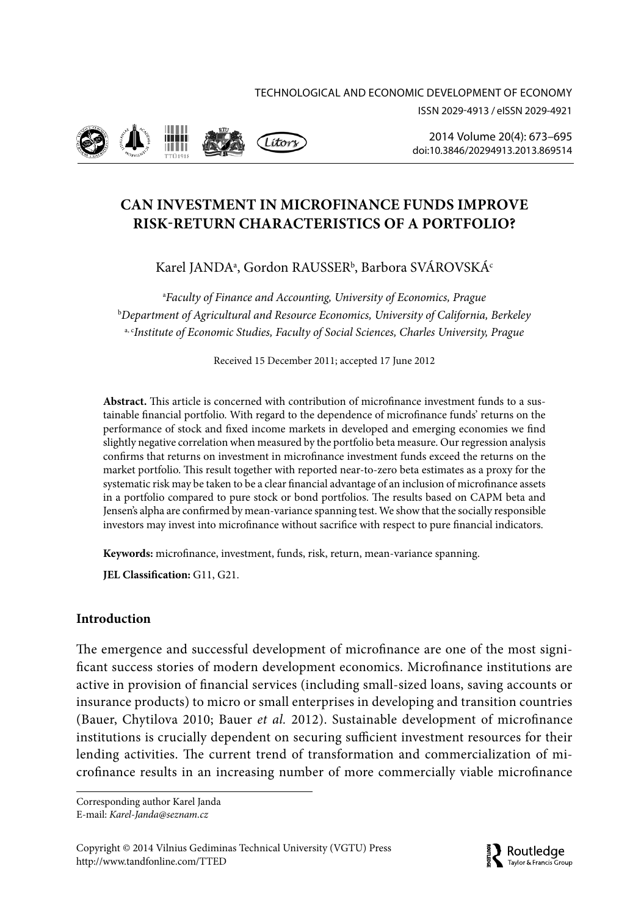ISSN 2029-4913 / eISSN 2029-4921



2014 Volume 20(4): 673–695 [doi:10.3846/20294913.2013.869514](http://dx.doi.org/10.3846/20294913.2014.869514)

# **Can Investment in Microfinance Funds Improve Risk-Return Characteristics of a Portfolio?**

Karel JANDAª, Gordon RAUSSER<sup>b</sup>, Barbora SVÁROVSKÁ<sup>c</sup>

a *Faculty of Finance and Accounting, University of Economics, Prague* b *Department of Agricultural and Resource Economics, University of California, Berkeley* a, c*Institute of Economic Studies, Faculty of Social Sciences, Charles University, Prague*

Received 15 December 2011; accepted 17 June 2012

**Abstract.** This article is concerned with contribution of microfinance investment funds to a sustainable financial portfolio. With regard to the dependence of microfinance funds' returns on the performance of stock and fixed income markets in developed and emerging economies we find slightly negative correlation when measured by the portfolio beta measure. Our regression analysis confirms that returns on investment in microfinance investment funds exceed the returns on the market portfolio. This result together with reported near-to-zero beta estimates as a proxy for the systematic risk may be taken to be a clear financial advantage of an inclusion of microfinance assets in a portfolio compared to pure stock or bond portfolios. The results based on CAPM beta and Jensen's alpha are confirmed by mean-variance spanning test. We show that the socially responsible investors may invest into microfinance without sacrifice with respect to pure financial indicators.

**Keywords:** microfinance, investment, funds, risk, return, mean-variance spanning.

**JEL Classification:** G11, G21.

## **Introduction**

The emergence and successful development of microfinance are one of the most significant success stories of modern development economics. Microfinance institutions are active in provision of financial services (including small-sized loans, saving accounts or insurance products) to micro or small enterprises in developing and transition countries (Bauer, Chytilova 2010; Bauer *et al.* 2012). Sustainable development of microfinance institutions is crucially dependent on securing sufficient investment resources for their lending activities. The current trend of transformation and commercialization of microfinance results in an increasing number of more commercially viable microfinance

Corresponding author Karel Janda E-mail: *Karel-Janda@seznam.cz*

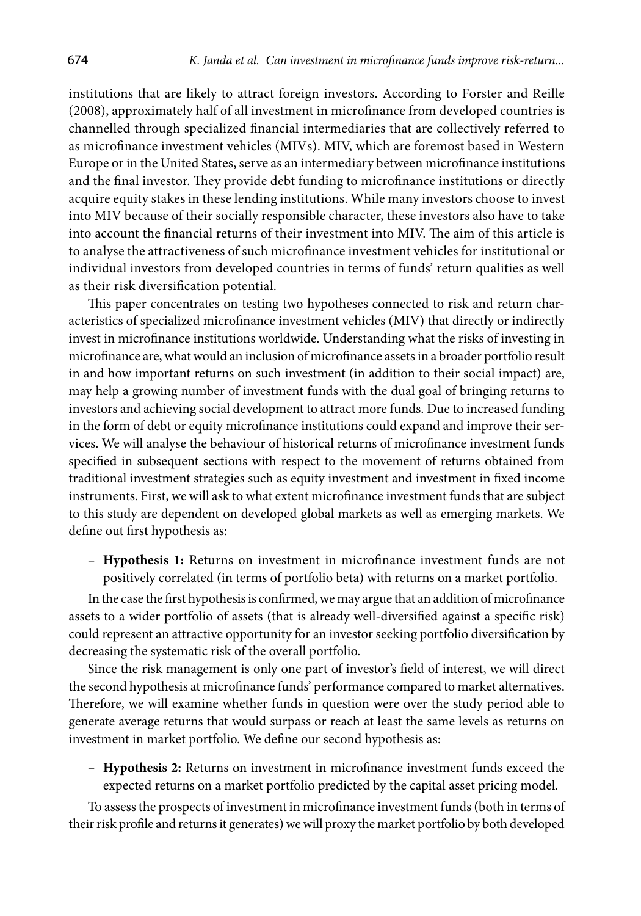institutions that are likely to attract foreign investors. According to Forster and Reille (2008), approximately half of all investment in microfinance from developed countries is channelled through specialized financial intermediaries that are collectively referred to as microfinance investment vehicles (MIVs). MIV, which are foremost based in Western Europe or in the United States, serve as an intermediary between microfinance institutions and the final investor. They provide debt funding to microfinance institutions or directly acquire equity stakes in these lending institutions. While many investors choose to invest into MIV because of their socially responsible character, these investors also have to take into account the financial returns of their investment into MIV. The aim of this article is to analyse the attractiveness of such microfinance investment vehicles for institutional or individual investors from developed countries in terms of funds' return qualities as well as their risk diversification potential.

This paper concentrates on testing two hypotheses connected to risk and return characteristics of specialized microfinance investment vehicles (MIV) that directly or indirectly invest in microfinance institutions worldwide. Understanding what the risks of investing in microfinance are, what would an inclusion of microfinance assets in a broader portfolio result in and how important returns on such investment (in addition to their social impact) are, may help a growing number of investment funds with the dual goal of bringing returns to investors and achieving social development to attract more funds. Due to increased funding in the form of debt or equity microfinance institutions could expand and improve their services. We will analyse the behaviour of historical returns of microfinance investment funds specified in subsequent sections with respect to the movement of returns obtained from traditional investment strategies such as equity investment and investment in fixed income instruments. First, we will ask to what extent microfinance investment funds that are subject to this study are dependent on developed global markets as well as emerging markets. We define out first hypothesis as:

– **Hypothesis 1:** Returns on investment in microfinance investment funds are not positively correlated (in terms of portfolio beta) with returns on a market portfolio.

In the case the first hypothesis is confirmed, we may argue that an addition of microfinance assets to a wider portfolio of assets (that is already well-diversified against a specific risk) could represent an attractive opportunity for an investor seeking portfolio diversification by decreasing the systematic risk of the overall portfolio.

Since the risk management is only one part of investor's field of interest, we will direct the second hypothesis at microfinance funds' performance compared to market alternatives. Therefore, we will examine whether funds in question were over the study period able to generate average returns that would surpass or reach at least the same levels as returns on investment in market portfolio. We define our second hypothesis as:

– **Hypothesis 2:** Returns on investment in microfinance investment funds exceed the expected returns on a market portfolio predicted by the capital asset pricing model.

To assess the prospects of investment in microfinance investment funds (both in terms of their risk profile and returns it generates) we will proxy the market portfolio by both developed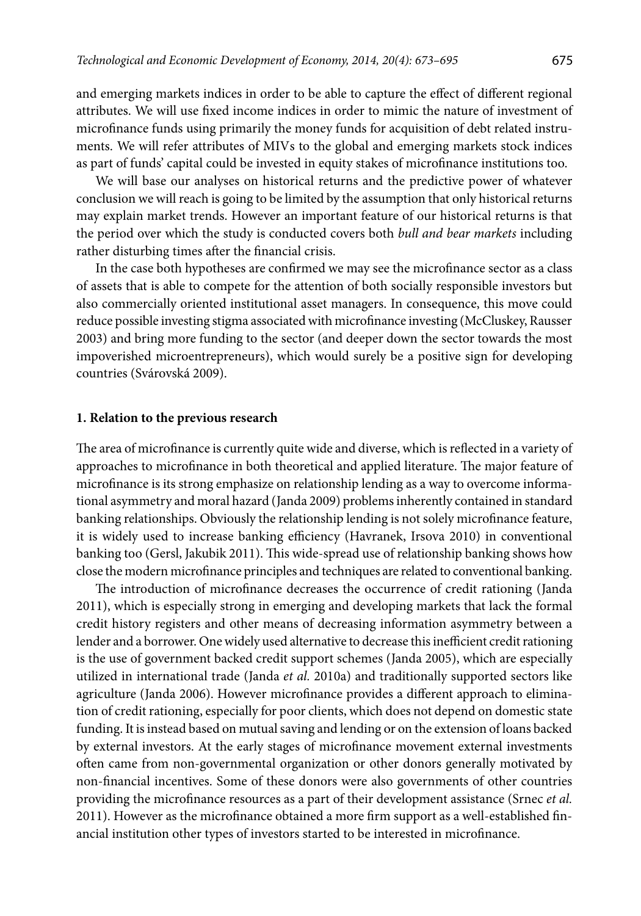and emerging markets indices in order to be able to capture the effect of different regional attributes. We will use fixed income indices in order to mimic the nature of investment of microfinance funds using primarily the money funds for acquisition of debt related instruments. We will refer attributes of MIVs to the global and emerging markets stock indices as part of funds' capital could be invested in equity stakes of microfinance institutions too.

We will base our analyses on historical returns and the predictive power of whatever conclusion we will reach is going to be limited by the assumption that only historical returns may explain market trends. However an important feature of our historical returns is that the period over which the study is conducted covers both *bull and bear markets* including rather disturbing times after the financial crisis.

In the case both hypotheses are confirmed we may see the microfinance sector as a class of assets that is able to compete for the attention of both socially responsible investors but also commercially oriented institutional asset managers. In consequence, this move could reduce possible investing stigma associated with microfinance investing (McCluskey, Rausser 2003) and bring more funding to the sector (and deeper down the sector towards the most impoverished microentrepreneurs), which would surely be a positive sign for developing countries (Svárovská 2009).

#### **1. Relation to the previous research**

The area of microfinance is currently quite wide and diverse, which is reflected in a variety of approaches to microfinance in both theoretical and applied literature. The major feature of microfinance is its strong emphasize on relationship lending as a way to overcome informational asymmetry and moral hazard (Janda 2009) problems inherently contained in standard banking relationships. Obviously the relationship lending is not solely microfinance feature, it is widely used to increase banking efficiency (Havranek, Irsova 2010) in conventional banking too (Gersl, Jakubik 2011). This wide-spread use of relationship banking shows how close the modern microfinance principles and techniques are related to conventional banking.

The introduction of microfinance decreases the occurrence of credit rationing (Janda 2011), which is especially strong in emerging and developing markets that lack the formal credit history registers and other means of decreasing information asymmetry between a lender and a borrower. One widely used alternative to decrease this inefficient credit rationing is the use of government backed credit support schemes (Janda 2005), which are especially utilized in international trade (Janda *et al.* 2010a) and traditionally supported sectors like agriculture (Janda 2006). However microfinance provides a different approach to elimination of credit rationing, especially for poor clients, which does not depend on domestic state funding. It is instead based on mutual saving and lending or on the extension of loans backed by external investors. At the early stages of microfinance movement external investments often came from non-governmental organization or other donors generally motivated by non-financial incentives. Some of these donors were also governments of other countries providing the microfinance resources as a part of their development assistance (Srnec *et al.* 2011). However as the microfinance obtained a more firm support as a well-established financial institution other types of investors started to be interested in microfinance.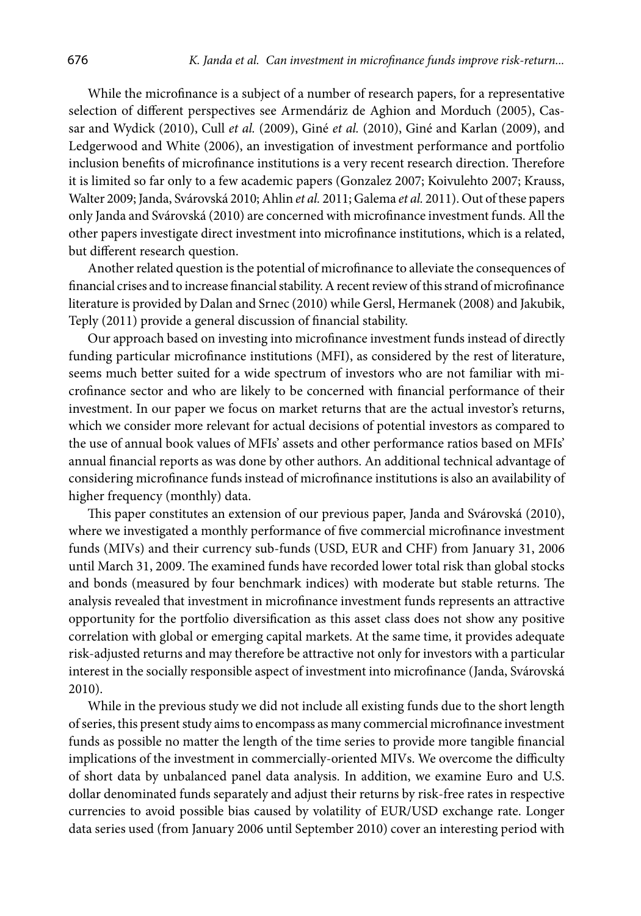While the microfinance is a subject of a number of research papers, for a representative selection of different perspectives see Armendáriz de Aghion and Morduch (2005), Cassar and Wydick (2010), Cull *et al.* (2009), Giné *et al.* (2010), Giné and Karlan (2009), and Ledgerwood and White (2006), an investigation of investment performance and portfolio inclusion benefits of microfinance institutions is a very recent research direction. Therefore it is limited so far only to a few academic papers (Gonzalez 2007; Koivulehto 2007; Krauss, Walter 2009; Janda, Svárovská 2010; Ahlin *et al.* 2011; Galema *et al.* 2011). Out of these papers only Janda and Svárovská (2010) are concerned with microfinance investment funds. All the other papers investigate direct investment into microfinance institutions, which is a related, but different research question.

Another related question is the potential of microfinance to alleviate the consequences of financial crises and to increase financial stability. A recent review of this strand of microfinance literature is provided by Dalan and Srnec (2010) while Gersl, Hermanek (2008) and Jakubik, Teply (2011) provide a general discussion of financial stability.

Our approach based on investing into microfinance investment funds instead of directly funding particular microfinance institutions (MFI), as considered by the rest of literature, seems much better suited for a wide spectrum of investors who are not familiar with microfinance sector and who are likely to be concerned with financial performance of their investment. In our paper we focus on market returns that are the actual investor's returns, which we consider more relevant for actual decisions of potential investors as compared to the use of annual book values of MFIs' assets and other performance ratios based on MFIs' annual financial reports as was done by other authors. An additional technical advantage of considering microfinance funds instead of microfinance institutions is also an availability of higher frequency (monthly) data.

This paper constitutes an extension of our previous paper, Janda and Svárovská (2010), where we investigated a monthly performance of five commercial microfinance investment funds (MIVs) and their currency sub-funds (USD, EUR and CHF) from January 31, 2006 until March 31, 2009. The examined funds have recorded lower total risk than global stocks and bonds (measured by four benchmark indices) with moderate but stable returns. The analysis revealed that investment in microfinance investment funds represents an attractive opportunity for the portfolio diversification as this asset class does not show any positive correlation with global or emerging capital markets. At the same time, it provides adequate risk-adjusted returns and may therefore be attractive not only for investors with a particular interest in the socially responsible aspect of investment into microfinance (Janda, Svárovská 2010).

While in the previous study we did not include all existing funds due to the short length of series, this present study aims to encompass as many commercial microfinance investment funds as possible no matter the length of the time series to provide more tangible financial implications of the investment in commercially-oriented MIVs. We overcome the difficulty of short data by unbalanced panel data analysis. In addition, we examine Euro and U.S. dollar denominated funds separately and adjust their returns by risk-free rates in respective currencies to avoid possible bias caused by volatility of EUR/USD exchange rate. Longer data series used (from January 2006 until September 2010) cover an interesting period with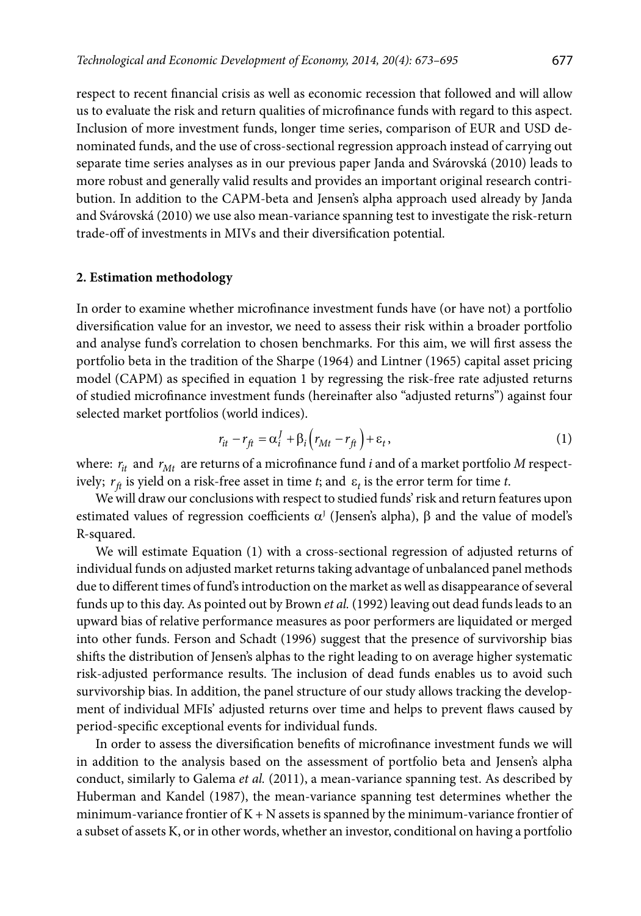respect to recent financial crisis as well as economic recession that followed and will allow us to evaluate the risk and return qualities of microfinance funds with regard to this aspect. Inclusion of more investment funds, longer time series, comparison of EUR and USD denominated funds, and the use of cross-sectional regression approach instead of carrying out separate time series analyses as in our previous paper Janda and Svárovská (2010) leads to more robust and generally valid results and provides an important original research contribution. In addition to the CAPM-beta and Jensen's alpha approach used already by Janda and Svárovská (2010) we use also mean-variance spanning test to investigate the risk-return trade-off of investments in MIVs and their diversification potential.

## **2. Estimation methodology**

In order to examine whether microfinance investment funds have (or have not) a portfolio diversification value for an investor, we need to assess their risk within a broader portfolio and analyse fund's correlation to chosen benchmarks. For this aim, we will first assess the portfolio beta in the tradition of the Sharpe (1964) and Lintner (1965) capital asset pricing model (CAPM) as specified in equation 1 by regressing the risk-free rate adjusted returns of studied microfinance investment funds (hereinafter also "adjusted returns") against four selected market portfolios (world indices).

$$
r_{it} - r_{ft} = \alpha_i^J + \beta_i \left( r_{Mt} - r_{ft} \right) + \varepsilon_t, \tag{1}
$$

where:  $r_{it}$  and  $r_{Mt}$  are returns of a microfinance fund *i* and of a market portfolio *M* respectively;  $r_{\hat{H}}$  is yield on a risk-free asset in time *t*; and  $\epsilon_t$  is the error term for time *t*.

We will draw our conclusions with respect to studied funds' risk and return features upon estimated values of regression coefficients  $\alpha^{j}$  (Jensen's alpha),  $\beta$  and the value of model's R-squared.

We will estimate Equation (1) with a cross-sectional regression of adjusted returns of individual funds on adjusted market returns taking advantage of unbalanced panel methods due to different times of fund's introduction on the market as well as disappearance of several funds up to this day. As pointed out by Brown *et al.* (1992) leaving out dead funds leads to an upward bias of relative performance measures as poor performers are liquidated or merged into other funds. Ferson and Schadt (1996) suggest that the presence of survivorship bias shifts the distribution of Jensen's alphas to the right leading to on average higher systematic risk-adjusted performance results. The inclusion of dead funds enables us to avoid such survivorship bias. In addition, the panel structure of our study allows tracking the development of individual MFIs' adjusted returns over time and helps to prevent flaws caused by period-specific exceptional events for individual funds.

In order to assess the diversification benefits of microfinance investment funds we will in addition to the analysis based on the assessment of portfolio beta and Jensen's alpha conduct, similarly to Galema *et al.* (2011), a mean-variance spanning test. As described by Huberman and Kandel (1987), the mean-variance spanning test determines whether the minimum-variance frontier of  $K + N$  assets is spanned by the minimum-variance frontier of a subset of assets K, or in other words, whether an investor, conditional on having a portfolio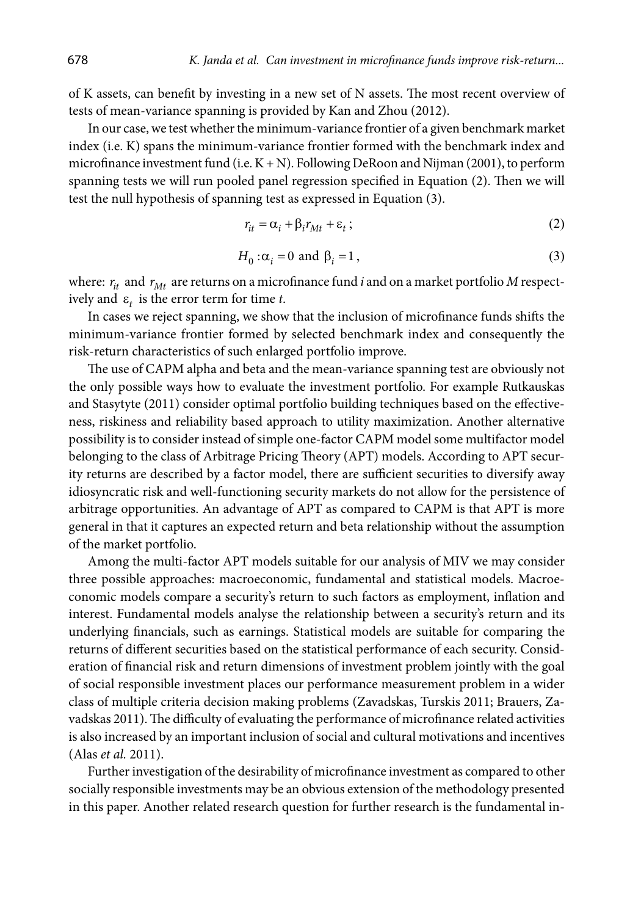of K assets, can benefit by investing in a new set of N assets. The most recent overview of tests of mean-variance spanning is provided by Kan and Zhou (2012).

In our case, we test whether the minimum-variance frontier of a given benchmark market index (i.e. K) spans the minimum-variance frontier formed with the benchmark index and microfinance investment fund (i.e.  $K + N$ ). Following DeRoon and Nijman (2001), to perform spanning tests we will run pooled panel regression specified in Equation (2). Then we will test the null hypothesis of spanning test as expressed in Equation (3).

$$
r_{it} = \alpha_i + \beta_i r_{Mt} + \varepsilon_t ; \qquad (2)
$$

$$
H_0: \alpha_i = 0 \text{ and } \beta_i = 1,
$$
\n(3)

where:  $r_{it}$  and  $r_{Mt}$  are returns on a microfinance fund *i* and on a market portfolio *M* respectively and  $\varepsilon_t$  is the error term for time *t*.

In cases we reject spanning, we show that the inclusion of microfinance funds shifts the minimum-variance frontier formed by selected benchmark index and consequently the risk-return characteristics of such enlarged portfolio improve.

The use of CAPM alpha and beta and the mean-variance spanning test are obviously not the only possible ways how to evaluate the investment portfolio. For example Rutkauskas and Stasytyte (2011) consider optimal portfolio building techniques based on the effectiveness, riskiness and reliability based approach to utility maximization. Another alternative possibility is to consider instead of simple one-factor CAPM model some multifactor model belonging to the class of Arbitrage Pricing Theory (APT) models. According to APT security returns are described by a factor model, there are sufficient securities to diversify away idiosyncratic risk and well-functioning security markets do not allow for the persistence of arbitrage opportunities. An advantage of APT as compared to CAPM is that APT is more general in that it captures an expected return and beta relationship without the assumption of the market portfolio.

Among the multi-factor APT models suitable for our analysis of MIV we may consider three possible approaches: macroeconomic, fundamental and statistical models. Macroeconomic models compare a security's return to such factors as employment, inflation and interest. Fundamental models analyse the relationship between a security's return and its underlying financials, such as earnings. Statistical models are suitable for comparing the returns of different securities based on the statistical performance of each security. Consideration of financial risk and return dimensions of investment problem jointly with the goal of social responsible investment places our performance measurement problem in a wider class of multiple criteria decision making problems (Zavadskas, Turskis 2011; Brauers, Zavadskas 2011). The difficulty of evaluating the performance of microfinance related activities is also increased by an important inclusion of social and cultural motivations and incentives (Alas *et al.* 2011).

Further investigation of the desirability of microfinance investment as compared to other socially responsible investments may be an obvious extension of the methodology presented in this paper. Another related research question for further research is the fundamental in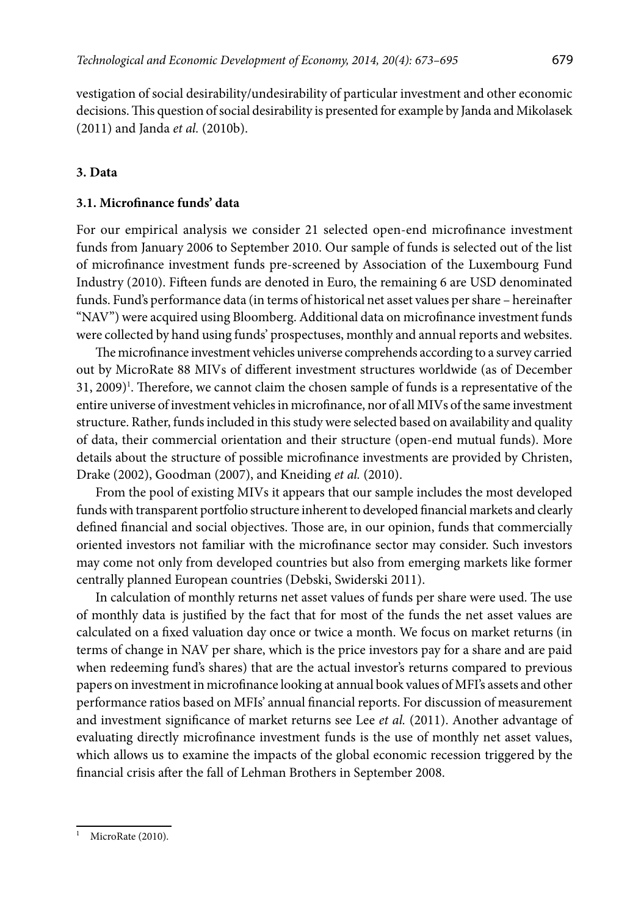vestigation of social desirability/undesirability of particular investment and other economic decisions. This question of social desirability is presented for example by Janda and Mikolasek (2011) and Janda *et al.* (2010b).

## **3. Data**

## **3.1. Microfinance funds' data**

For our empirical analysis we consider 21 selected open-end microfinance investment funds from January 2006 to September 2010. Our sample of funds is selected out of the list of microfinance investment funds pre-screened by Association of the Luxembourg Fund Industry (2010). Fifteen funds are denoted in Euro, the remaining 6 are USD denominated funds. Fund's performance data (in terms of historical net asset values per share – hereinafter "NAV") were acquired using Bloomberg. Additional data on microfinance investment funds were collected by hand using funds' prospectuses, monthly and annual reports and websites.

The microfinance investment vehicles universe comprehends according to a survey carried out by MicroRate 88 MIVs of different investment structures worldwide (as of December 31, 2009)<sup>1</sup>. Therefore, we cannot claim the chosen sample of funds is a representative of the entire universe of investment vehicles in microfinance, nor of all MIVs of the same investment structure. Rather, funds included in this study were selected based on availability and quality of data, their commercial orientation and their structure (open-end mutual funds). More details about the structure of possible microfinance investments are provided by Christen, Drake (2002), Goodman (2007), and Kneiding *et al.* (2010).

From the pool of existing MIVs it appears that our sample includes the most developed funds with transparent portfolio structure inherent to developed financial markets and clearly defined financial and social objectives. Those are, in our opinion, funds that commercially oriented investors not familiar with the microfinance sector may consider. Such investors may come not only from developed countries but also from emerging markets like former centrally planned European countries (Debski, Swiderski 2011).

In calculation of monthly returns net asset values of funds per share were used. The use of monthly data is justified by the fact that for most of the funds the net asset values are calculated on a fixed valuation day once or twice a month. We focus on market returns (in terms of change in NAV per share, which is the price investors pay for a share and are paid when redeeming fund's shares) that are the actual investor's returns compared to previous papers on investment in microfinance looking at annual book values of MFI's assets and other performance ratios based on MFIs' annual financial reports. For discussion of measurement and investment significance of market returns see Lee *et al.* (2011). Another advantage of evaluating directly microfinance investment funds is the use of monthly net asset values, which allows us to examine the impacts of the global economic recession triggered by the financial crisis after the fall of Lehman Brothers in September 2008.

 $<sup>1</sup>$  MicroRate (2010).</sup>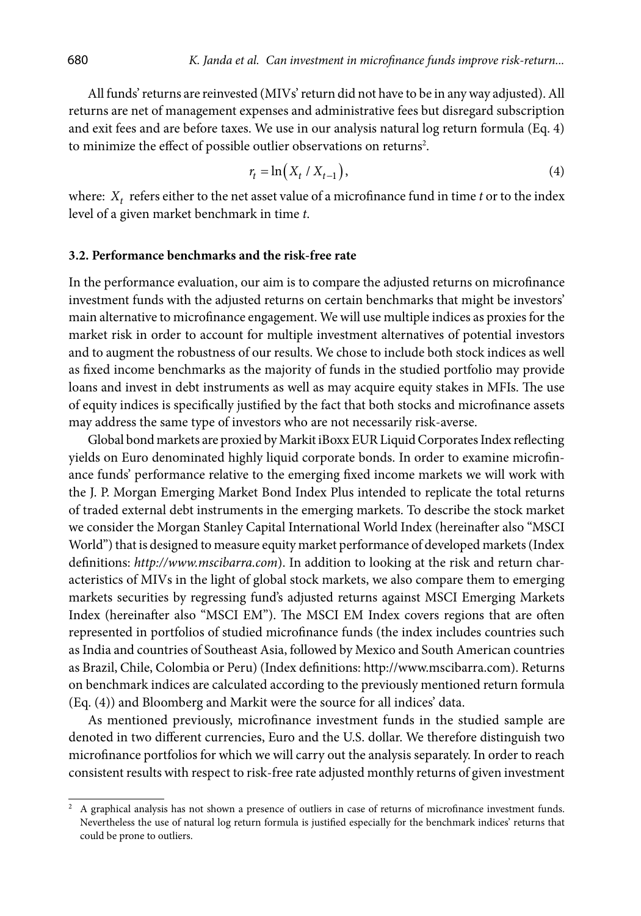All funds' returns are reinvested (MIVs' return did not have to be in any way adjusted). All returns are net of management expenses and administrative fees but disregard subscription and exit fees and are before taxes. We use in our analysis natural log return formula (Eq. 4) to minimize the effect of possible outlier observations on returns<sup>2</sup>.

$$
r_t = \ln\left(X_t \mid X_{t-1}\right),\tag{4}
$$

where:  $X_t$  refers either to the net asset value of a microfinance fund in time *t* or to the index level of a given market benchmark in time *t*.

### **3.2. Performance benchmarks and the risk-free rate**

In the performance evaluation, our aim is to compare the adjusted returns on microfinance investment funds with the adjusted returns on certain benchmarks that might be investors' main alternative to microfinance engagement. We will use multiple indices as proxies for the market risk in order to account for multiple investment alternatives of potential investors and to augment the robustness of our results. We chose to include both stock indices as well as fixed income benchmarks as the majority of funds in the studied portfolio may provide loans and invest in debt instruments as well as may acquire equity stakes in MFIs. The use of equity indices is specifically justified by the fact that both stocks and microfinance assets may address the same type of investors who are not necessarily risk-averse.

Global bond markets are proxied by Markit iBoxx EUR Liquid Corporates Index reflecting yields on Euro denominated highly liquid corporate bonds. In order to examine microfinance funds' performance relative to the emerging fixed income markets we will work with the J. P. Morgan Emerging Market Bond Index Plus intended to replicate the total returns of traded external debt instruments in the emerging markets. To describe the stock market we consider the Morgan Stanley Capital International World Index (hereinafter also "MSCI World") that is designed to measure equity market performance of developed markets (Index definitions: *http://www.mscibarra.com*). In addition to looking at the risk and return characteristics of MIVs in the light of global stock markets, we also compare them to emerging markets securities by regressing fund's adjusted returns against MSCI Emerging Markets Index (hereinafter also "MSCI EM"). The MSCI EM Index covers regions that are often represented in portfolios of studied microfinance funds (the index includes countries such as India and countries of Southeast Asia, followed by Mexico and South American countries as Brazil, Chile, Colombia or Peru) (Index definitions: http://www.mscibarra.com). Returns on benchmark indices are calculated according to the previously mentioned return formula (Eq. (4)) and Bloomberg and Markit were the source for all indices' data.

As mentioned previously, microfinance investment funds in the studied sample are denoted in two different currencies, Euro and the U.S. dollar. We therefore distinguish two microfinance portfolios for which we will carry out the analysis separately. In order to reach consistent results with respect to risk-free rate adjusted monthly returns of given investment

<sup>2</sup> A graphical analysis has not shown a presence of outliers in case of returns of microfinance investment funds. Nevertheless the use of natural log return formula is justified especially for the benchmark indices' returns that could be prone to outliers.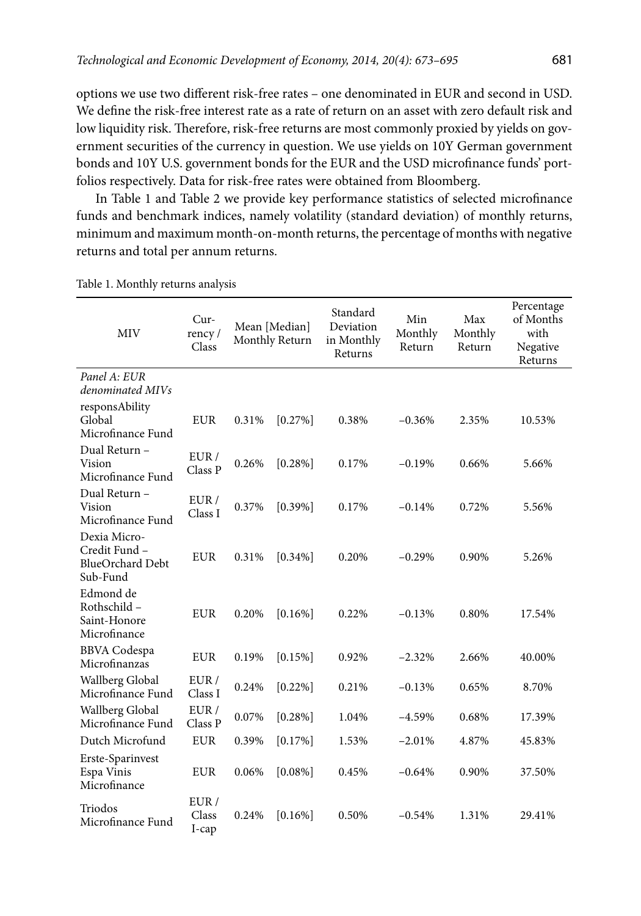options we use two different risk-free rates – one denominated in EUR and second in USD. We define the risk-free interest rate as a rate of return on an asset with zero default risk and low liquidity risk. Therefore, risk-free returns are most commonly proxied by yields on government securities of the currency in question. We use yields on 10Y German government bonds and 10Y U.S. government bonds for the EUR and the USD microfinance funds' portfolios respectively. Data for risk-free rates were obtained from Bloomberg.

In Table 1 and Table 2 we provide key performance statistics of selected microfinance funds and benchmark indices, namely volatility (standard deviation) of monthly returns, minimum and maximum month-on-month returns, the percentage of months with negative returns and total per annum returns.

| <b>MIV</b>                                                           | Cur-<br>rency/<br>Class |       | Mean [Median]<br>Monthly Return | Standard<br>Deviation<br>in Monthly<br>Returns | Min<br>Monthly<br>Return | Max<br>Monthly<br>Return | Percentage<br>of Months<br>with<br>Negative<br>Returns |
|----------------------------------------------------------------------|-------------------------|-------|---------------------------------|------------------------------------------------|--------------------------|--------------------------|--------------------------------------------------------|
| Panel A: EUR<br>denominated MIVs                                     |                         |       |                                 |                                                |                          |                          |                                                        |
| responsAbility<br>Global<br>Microfinance Fund                        | <b>EUR</b>              | 0.31% | $[0.27\%]$                      | 0.38%                                          | $-0.36%$                 | 2.35%                    | 10.53%                                                 |
| Dual Return -<br>Vision<br>Microfinance Fund                         | EUR/<br>Class P         | 0.26% | $[0.28\%]$                      | 0.17%                                          | $-0.19%$                 | 0.66%                    | 5.66%                                                  |
| Dual Return -<br>Vision<br>Microfinance Fund                         | EUR/<br>Class I         | 0.37% | $[0.39\%]$                      | 0.17%                                          | $-0.14%$                 | 0.72%                    | 5.56%                                                  |
| Dexia Micro-<br>Credit Fund -<br><b>BlueOrchard Debt</b><br>Sub-Fund | <b>EUR</b>              | 0.31% | $[0.34\%]$                      | 0.20%                                          | $-0.29%$                 | 0.90%                    | 5.26%                                                  |
| Edmond de<br>Rothschild-<br>Saint-Honore<br>Microfinance             | <b>EUR</b>              | 0.20% | $[0.16\%]$                      | 0.22%                                          | $-0.13%$                 | 0.80%                    | 17.54%                                                 |
| <b>BBVA</b> Codespa<br>Microfinanzas                                 | <b>EUR</b>              | 0.19% | $[0.15\%]$                      | 0.92%                                          | $-2.32%$                 | 2.66%                    | 40.00%                                                 |
| Wallberg Global<br>Microfinance Fund                                 | EUR/<br>Class I         | 0.24% | $[0.22\%]$                      | 0.21%                                          | $-0.13%$                 | 0.65%                    | 8.70%                                                  |
| Wallberg Global<br>Microfinance Fund                                 | EUR/<br>Class P         | 0.07% | $[0.28\%]$                      | 1.04%                                          | $-4.59%$                 | 0.68%                    | 17.39%                                                 |
| Dutch Microfund                                                      | <b>EUR</b>              | 0.39% | $[0.17\%]$                      | 1.53%                                          | $-2.01%$                 | 4.87%                    | 45.83%                                                 |
| Erste-Sparinvest<br>Espa Vinis<br>Microfinance                       | <b>EUR</b>              | 0.06% | $[0.08\%]$                      | 0.45%                                          | $-0.64%$                 | 0.90%                    | 37.50%                                                 |
| Triodos<br>Microfinance Fund                                         | EUR/<br>Class<br>I-cap  | 0.24% | $[0.16\%]$                      | 0.50%                                          | $-0.54%$                 | 1.31%                    | 29.41%                                                 |

Table 1. Monthly returns analysis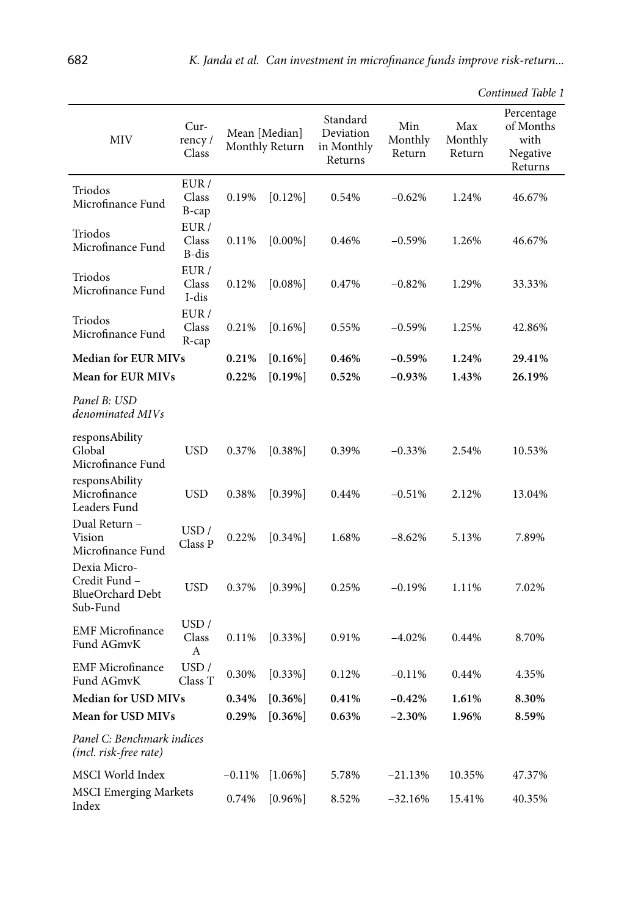|                                                               |                           |          |                                 |                                                |                          |                          | Continued Table 1                                      |
|---------------------------------------------------------------|---------------------------|----------|---------------------------------|------------------------------------------------|--------------------------|--------------------------|--------------------------------------------------------|
| MIV                                                           | $Cur-$<br>rency/<br>Class |          | Mean [Median]<br>Monthly Return | Standard<br>Deviation<br>in Monthly<br>Returns | Min<br>Monthly<br>Return | Max<br>Monthly<br>Return | Percentage<br>of Months<br>with<br>Negative<br>Returns |
| Triodos<br>Microfinance Fund                                  | EUR/<br>Class<br>B-cap    | 0.19%    | $[0.12\%]$                      | 0.54%                                          | $-0.62%$                 | 1.24%                    | 46.67%                                                 |
| Triodos<br>Microfinance Fund                                  | EUR /<br>Class<br>B-dis   | 0.11%    | $[0.00\%]$                      | 0.46%                                          | $-0.59%$                 | 1.26%                    | 46.67%                                                 |
| Triodos<br>Microfinance Fund                                  | EUR /<br>Class<br>I-dis   | 0.12%    | $[0.08\%]$                      | 0.47%                                          | $-0.82%$                 | 1.29%                    | 33.33%                                                 |
| Triodos<br>Microfinance Fund                                  | EUR/<br>Class<br>R-cap    | 0.21%    | $[0.16\%]$                      | 0.55%                                          | $-0.59\%$                | 1.25%                    | 42.86%                                                 |
| Median for EUR MIVs                                           |                           | 0.21%    | $[0.16\%]$                      | 0.46%                                          | $-0.59\%$                | 1.24%                    | 29.41%                                                 |
| <b>Mean for EUR MIVs</b>                                      |                           | 0.22%    | $[0.19\%]$                      | 0.52%                                          | $-0.93%$                 | 1.43%                    | 26.19%                                                 |
| Panel B: USD<br>denominated MIVs                              |                           |          |                                 |                                                |                          |                          |                                                        |
| responsAbility<br>Global<br>Microfinance Fund                 | USD                       | 0.37%    | $[0.38\%]$                      | 0.39%                                          | $-0.33\%$                | 2.54%                    | 10.53%                                                 |
| responsAbility<br>Microfinance<br>Leaders Fund                | USD                       | 0.38%    | $[0.39\%]$                      | 0.44%                                          | $-0.51%$                 | 2.12%                    | 13.04%                                                 |
| Dual Return –<br>Vision<br>Microfinance Fund                  | USD/<br>Class P           | 0.22%    | $[0.34\%]$                      | 1.68%                                          | $-8.62\%$                | 5.13%                    | 7.89%                                                  |
| Dexia Micro-<br>Credit Fund -<br>BlueOrchard Debt<br>Sub-Fund | <b>USD</b>                | 0.37%    | $[0.39\%]$                      | 0.25%                                          | $-0.19%$                 | 1.11%                    | 7.02%                                                  |
| <b>EMF Microfinance</b><br>Fund AGmvK                         | USD /<br>Class<br>A       | 0.11%    | $[0.33\%]$                      | 0.91%                                          | $-4.02\%$                | 0.44%                    | 8.70%                                                  |
| <b>EMF</b> Microfinance<br>Fund AGmvK                         | USD /<br>Class T          | 0.30%    | $[0.33\%]$                      | 0.12%                                          | $-0.11%$                 | 0.44%                    | 4.35%                                                  |
| Median for USD MIVs                                           |                           | 0.34%    | $[0.36\%]$                      | 0.41%                                          | $-0.42%$                 | 1.61%                    | 8.30%                                                  |
| Mean for USD MIVs                                             |                           | 0.29%    | $[0.36\%]$                      | 0.63%                                          | $-2.30%$                 | 1.96%                    | 8.59%                                                  |
| Panel C: Benchmark indices<br>(incl. risk-free rate)          |                           |          |                                 |                                                |                          |                          |                                                        |
| MSCI World Index                                              |                           | $-0.11%$ | $[1.06\%]$                      | 5.78%                                          | $-21.13%$                | 10.35%                   | 47.37%                                                 |
| <b>MSCI Emerging Markets</b><br>Index                         |                           | 0.74%    | $[0.96\%]$                      | 8.52%                                          | $-32.16%$                | 15.41%                   | 40.35%                                                 |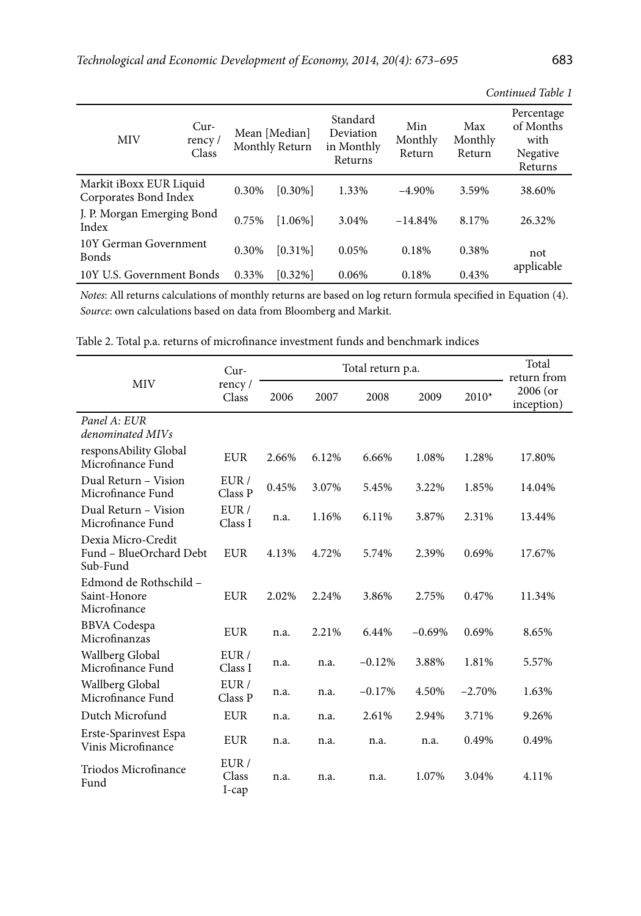| MIV                                              | $Cur-$<br>rency $/$<br>Class | Mean [Median]<br>Monthly Return |            | Standard<br>Deviation<br>in Monthly<br>Returns | Min<br>Monthly<br>Return | Max<br>Monthly<br>Return | Percentage<br>of Months<br>with<br>Negative<br>Returns |
|--------------------------------------------------|------------------------------|---------------------------------|------------|------------------------------------------------|--------------------------|--------------------------|--------------------------------------------------------|
| Markit iBoxx EUR Liquid<br>Corporates Bond Index |                              | 0.30%                           | $[0.30\%]$ | 1.33%                                          | $-4.90\%$                | 3.59%                    | 38.60%                                                 |
| J. P. Morgan Emerging Bond<br>Index              |                              | 0.75%                           | $[1.06\%]$ | 3.04%                                          | $-14.84%$                | 8.17%                    | 26.32%                                                 |
| 10Y German Government<br><b>Bonds</b>            |                              | 0.30%                           | $[0.31\%]$ | 0.05%                                          | 0.18%                    | 0.38%                    | not                                                    |
| 10Y U.S. Government Bonds                        |                              | 0.33%                           | $[0.32\%]$ | 0.06%                                          | 0.18%                    | 0.43%                    | applicable                                             |

*Continued Table 1*

*Notes*: All returns calculations of monthly returns are based on log return formula specified in Equation (4). *Source*: own calculations based on data from Bloomberg and Markit.

|                                                           | $Cur-$                 |       | Total<br>return from |          |          |          |                        |  |
|-----------------------------------------------------------|------------------------|-------|----------------------|----------|----------|----------|------------------------|--|
| MIV                                                       | rency/<br>Class        | 2006  | 2008<br>2007         |          | 2009     | $2010*$  | 2006 (or<br>inception) |  |
| Panel A: EUR<br>denominated MIVs                          |                        |       |                      |          |          |          |                        |  |
| responsAbility Global<br>Microfinance Fund                | <b>EUR</b>             | 2.66% | 6.12%                | 6.66%    | 1.08%    | 1.28%    | 17.80%                 |  |
| Dual Return - Vision<br>Microfinance Fund                 | EUR/<br>Class P        | 0.45% | 3.07%                | 5.45%    | 3.22%    | 1.85%    | 14.04%                 |  |
| Dual Return - Vision<br>Microfinance Fund                 | EUR/<br>Class I        | n.a.  | 1.16%                | 6.11%    | 3.87%    | 2.31%    | 13.44%                 |  |
| Dexia Micro-Credit<br>Fund - BlueOrchard Debt<br>Sub-Fund | <b>EUR</b>             | 4.13% | 4.72%                | 5.74%    | 2.39%    | 0.69%    | 17.67%                 |  |
| Edmond de Rothschild -<br>Saint-Honore<br>Microfinance    | <b>EUR</b>             | 2.02% | 2.24%                | 3.86%    | 2.75%    | 0.47%    | 11.34%                 |  |
| <b>BBVA</b> Codespa<br>Microfinanzas                      | <b>EUR</b>             | n.a.  | 2.21%                | 6.44%    | $-0.69%$ | 0.69%    | 8.65%                  |  |
| Wallberg Global<br>Microfinance Fund                      | EUR/<br>Class I        | n.a.  | n.a.                 | $-0.12%$ | 3.88%    | 1.81%    | 5.57%                  |  |
| Wallberg Global<br>Microfinance Fund                      | EUR/<br>Class P        | n.a.  | n.a.                 | $-0.17%$ | 4.50%    | $-2.70%$ | 1.63%                  |  |
| Dutch Microfund                                           | <b>EUR</b>             | n.a.  | n.a.                 | 2.61%    | 2.94%    | 3.71%    | 9.26%                  |  |
| Erste-Sparinvest Espa<br>Vinis Microfinance               | <b>EUR</b>             | n.a.  | n.a.                 | n.a.     | n.a.     | 0.49%    | 0.49%                  |  |
| Triodos Microfinance<br>Fund                              | EUR/<br>Class<br>I-cap | n.a.  | n.a.                 | n.a.     | 1.07%    | 3.04%    | 4.11%                  |  |

Table 2. Total p.a. returns of microfinance investment funds and benchmark indices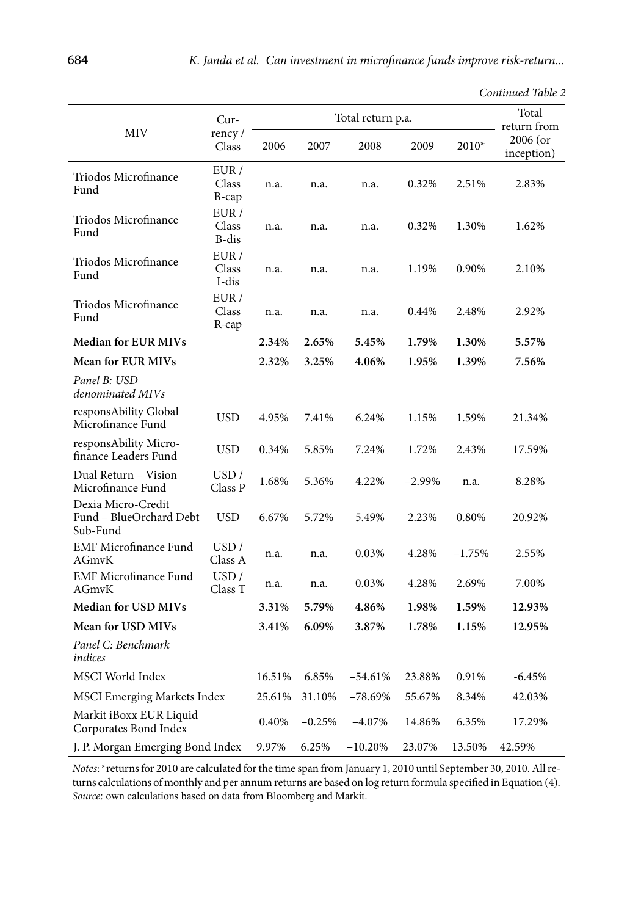|                                                           | Cur-                   |        |          | Total return p.a. |           |          | Total<br>return from   |
|-----------------------------------------------------------|------------------------|--------|----------|-------------------|-----------|----------|------------------------|
| MIV                                                       | rency/<br>Class        | 2006   | 2007     | 2008              | 2009      | 2010*    | 2006 (or<br>inception) |
| Triodos Microfinance<br>Fund                              | EUR/<br>Class<br>B-cap | n.a.   | n.a.     | n.a.              | 0.32%     | 2.51%    | 2.83%                  |
| Triodos Microfinance<br>Fund                              | EUR/<br>Class<br>B-dis | n.a.   | n.a.     | n.a.              | 0.32%     | 1.30%    | 1.62%                  |
| Triodos Microfinance<br>Fund                              | EUR/<br>Class<br>I-dis | n.a.   | n.a.     | n.a.              | 1.19%     | 0.90%    | 2.10%                  |
| Triodos Microfinance<br>Fund                              | EUR/<br>Class<br>R-cap | n.a.   | n.a.     | n.a.              | 0.44%     | 2.48%    | 2.92%                  |
| <b>Median for EUR MIVs</b>                                |                        | 2.34%  | 2.65%    | 5.45%             | 1.79%     | 1.30%    | 5.57%                  |
| Mean for EUR MIVs                                         |                        | 2.32%  | 3.25%    | 4.06%             | 1.95%     | 1.39%    | 7.56%                  |
| Panel B: USD<br>denominated MIVs                          |                        |        |          |                   |           |          |                        |
| responsAbility Global<br>Microfinance Fund                | USD                    | 4.95%  | 7.41%    | 6.24%             | 1.15%     | 1.59%    | 21.34%                 |
| responsAbility Micro-<br>finance Leaders Fund             | <b>USD</b>             | 0.34%  | 5.85%    | 7.24%             | 1.72%     | 2.43%    | 17.59%                 |
| Dual Return - Vision<br>Microfinance Fund                 | USD/<br>Class P        | 1.68%  | 5.36%    | 4.22%             | $-2.99\%$ | n.a.     | 8.28%                  |
| Dexia Micro-Credit<br>Fund – BlueOrchard Debt<br>Sub-Fund | <b>USD</b>             | 6.67%  | 5.72%    | 5.49%             | 2.23%     | 0.80%    | 20.92%                 |
| <b>EMF Microfinance Fund</b><br>AGmvK                     | USD/<br>Class A        | n.a.   | n.a.     | 0.03%             | 4.28%     | $-1.75%$ | 2.55%                  |
| <b>EMF Microfinance Fund</b><br>AGmvK                     | USD/<br>Class T        | n.a.   | n.a.     | 0.03%             | 4.28%     | 2.69%    | 7.00%                  |
| <b>Median for USD MIVs</b>                                |                        | 3.31%  | 5.79%    | 4.86%             | 1.98%     | 1.59%    | 12.93%                 |
| <b>Mean for USD MIVs</b>                                  |                        | 3.41%  | 6.09%    | 3.87%             | 1.78%     | 1.15%    | 12.95%                 |
| Panel C: Benchmark<br>indices                             |                        |        |          |                   |           |          |                        |
| MSCI World Index                                          |                        | 16.51% | 6.85%    | $-54.61%$         | 23.88%    | 0.91%    | $-6.45%$               |
| MSCI Emerging Markets Index                               |                        | 25.61% | 31.10%   | $-78.69%$         | 55.67%    | 8.34%    | 42.03%                 |
| Markit iBoxx EUR Liquid<br>Corporates Bond Index          |                        | 0.40%  | $-0.25%$ | $-4.07\%$         | 14.86%    | 6.35%    | 17.29%                 |
| J. P. Morgan Emerging Bond Index                          |                        | 9.97%  | 6.25%    | $-10.20%$         | 23.07%    | 13.50%   | 42.59%                 |

*Notes*: \*returns for 2010 are calculated for the time span from January 1, 2010 until September 30, 2010. All returns calculations of monthly and per annum returns are based on log return formula specified in Equation (4). *Source*: own calculations based on data from Bloomberg and Markit.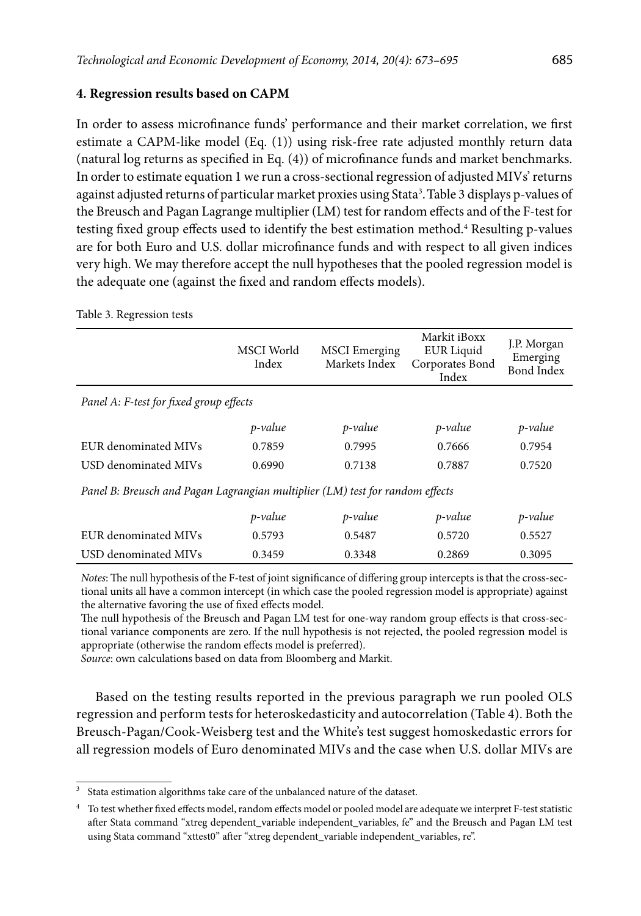## **4. Regression results based on CAPM**

In order to assess microfinance funds' performance and their market correlation, we first estimate a CAPM-like model (Eq. (1)) using risk-free rate adjusted monthly return data (natural log returns as specified in Eq. (4)) of microfinance funds and market benchmarks. In order to estimate equation 1 we run a cross-sectional regression of adjusted MIVs' returns against adjusted returns of particular market proxies using Stata<sup>3</sup>. Table 3 displays p-values of the Breusch and Pagan Lagrange multiplier (LM) test for random effects and of the F-test for testing fixed group effects used to identify the best estimation method.<sup>4</sup> Resulting p-values are for both Euro and U.S. dollar microfinance funds and with respect to all given indices very high. We may therefore accept the null hypotheses that the pooled regression model is the adequate one (against the fixed and random effects models).

|                                                                               | MSCI World<br>Index | <b>MSCI</b> Emerging<br>Markets Index | Markit iBoxx<br>EUR Liquid<br>Corporates Bond<br>Index |            |
|-------------------------------------------------------------------------------|---------------------|---------------------------------------|--------------------------------------------------------|------------|
| Panel A: F-test for fixed group effects                                       |                     |                                       |                                                        |            |
|                                                                               | $p$ -value          | $p$ -value                            | $p$ -value                                             | $p$ -value |
| EUR denominated MIVs                                                          | 0.7859              | 0.7995                                | 0.7666                                                 | 0.7954     |
| USD denominated MIVs                                                          | 0.6990              | 0.7138                                | 0.7887                                                 | 0.7520     |
| Panel B: Breusch and Pagan Lagrangian multiplier (LM) test for random effects |                     |                                       |                                                        |            |
|                                                                               | p-value             | p-value                               | $p$ -value                                             | $p$ -value |
| EUR denominated MIVs                                                          | 0.5793              | 0.5487                                | 0.5720                                                 | 0.5527     |
| USD denominated MIVs                                                          | 0.3459              | 0.3348                                | 0.2869                                                 | 0.3095     |

#### Table 3. Regression tests

*Notes*: The null hypothesis of the F-test of joint significance of differing group intercepts is that the cross-sectional units all have a common intercept (in which case the pooled regression model is appropriate) against the alternative favoring the use of fixed effects model.

The null hypothesis of the Breusch and Pagan LM test for one-way random group effects is that cross-sectional variance components are zero. If the null hypothesis is not rejected, the pooled regression model is appropriate (otherwise the random effects model is preferred).

*Source*: own calculations based on data from Bloomberg and Markit.

Based on the testing results reported in the previous paragraph we run pooled OLS regression and perform tests for heteroskedasticity and autocorrelation (Table 4). Both the Breusch-Pagan/Cook-Weisberg test and the White's test suggest homoskedastic errors for all regression models of Euro denominated MIVs and the case when U.S. dollar MIVs are

<sup>3</sup> Stata estimation algorithms take care of the unbalanced nature of the dataset.

<sup>4</sup> To test whether fixed effects model, random effects model or pooled model are adequate we interpret F-test statistic after Stata command "xtreg dependent\_variable independent\_variables, fe" and the Breusch and Pagan LM test using Stata command "xttest0" after "xtreg dependent\_variable independent\_variables, re".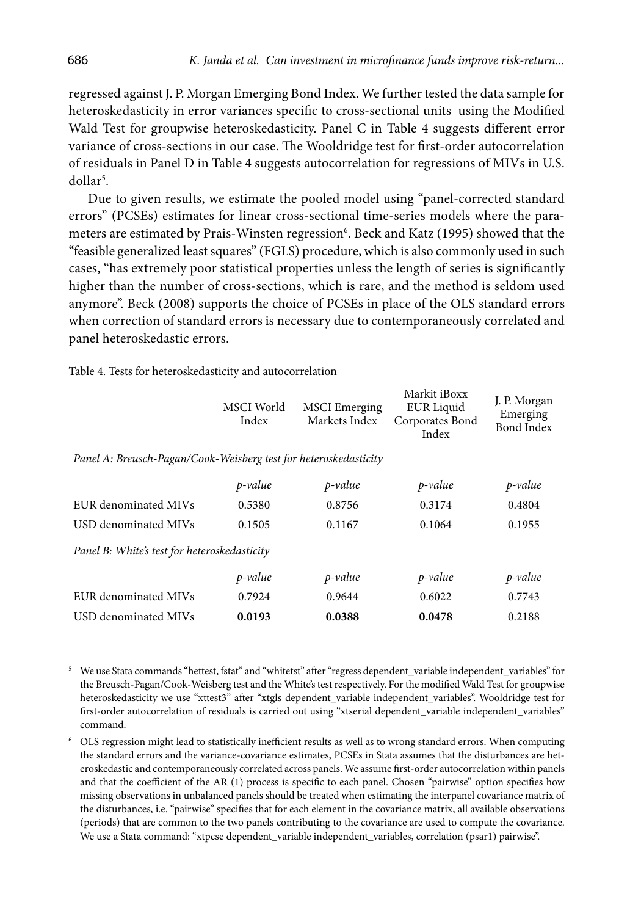regressed against J. P. Morgan Emerging Bond Index. We further tested the data sample for heteroskedasticity in error variances specific to cross-sectional units using the Modified Wald Test for groupwise heteroskedasticity. Panel C in Table 4 suggests different error variance of cross-sections in our case. The Wooldridge test for first-order autocorrelation of residuals in Panel D in Table 4 suggests autocorrelation for regressions of MIVs in U.S. dollar<sup>5</sup>.

Due to given results, we estimate the pooled model using "panel-corrected standard errors" (PCSEs) estimates for linear cross-sectional time-series models where the parameters are estimated by Prais-Winsten regression<sup>6</sup>. Beck and Katz (1995) showed that the "feasible generalized least squares" (FGLS) procedure, which is also commonly used in such cases, "has extremely poor statistical properties unless the length of series is significantly higher than the number of cross-sections, which is rare, and the method is seldom used anymore". Beck (2008) supports the choice of PCSEs in place of the OLS standard errors when correction of standard errors is necessary due to contemporaneously correlated and panel heteroskedastic errors.

|                                                                  | MSCI World<br>Index | <b>MSCI</b> Emerging<br>Markets Index | Markit iBoxx<br><b>EUR Liquid</b><br>Corporates Bond<br>Index | J. P. Morgan<br>Emerging<br><b>Bond Index</b> |
|------------------------------------------------------------------|---------------------|---------------------------------------|---------------------------------------------------------------|-----------------------------------------------|
| Panel A: Breusch-Pagan/Cook-Weisberg test for heteroskedasticity |                     |                                       |                                                               |                                               |
|                                                                  | $p$ -value          | $p$ -value                            | $p$ -value                                                    | p-value                                       |
| EUR denominated MIVs                                             | 0.5380              | 0.8756                                | 0.3174                                                        | 0.4804                                        |
| USD denominated MIVs                                             | 0.1505              | 0.1167                                | 0.1064                                                        | 0.1955                                        |
| Panel B: White's test for heteroskedasticity                     |                     |                                       |                                                               |                                               |
|                                                                  | $p$ -value          | $p$ -value                            | $p$ -value                                                    | $p$ -value                                    |
| EUR denominated MIVs                                             | 0.7924              | 0.9644                                | 0.6022                                                        | 0.7743                                        |
| USD denominated MIVs                                             | 0.0193              | 0.0388                                | 0.0478                                                        | 0.2188                                        |
|                                                                  |                     |                                       |                                                               |                                               |

Table 4. Tests for heteroskedasticity and autocorrelation

<sup>5</sup> We use Stata commands "hettest, fstat" and "whitetst" after "regress dependent\_variable independent\_variables" for the Breusch-Pagan/Cook-Weisberg test and the White's test respectively. For the modified Wald Test for groupwise heteroskedasticity we use "xttest3" after "xtgls dependent\_variable independent\_variables". Wooldridge test for first-order autocorrelation of residuals is carried out using "xtserial dependent variable independent variables" command.

<sup>6</sup> OLS regression might lead to statistically inefficient results as well as to wrong standard errors. When computing the standard errors and the variance-covariance estimates, PCSEs in Stata assumes that the disturbances are heteroskedastic and contemporaneously correlated across panels. We assume first-order autocorrelation within panels and that the coefficient of the AR (1) process is specific to each panel. Chosen "pairwise" option specifies how missing observations in unbalanced panels should be treated when estimating the interpanel covariance matrix of the disturbances, i.e. "pairwise" specifies that for each element in the covariance matrix, all available observations (periods) that are common to the two panels contributing to the covariance are used to compute the covariance. We use a Stata command: "xtpcse dependent variable independent variables, correlation (psar1) pairwise".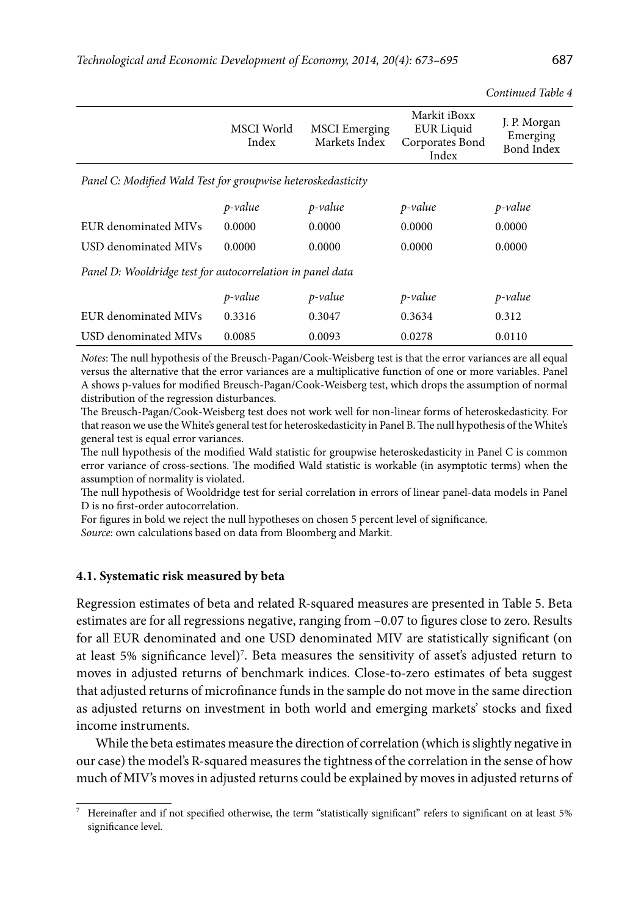|                                                              | MSCI World<br>Index | <b>MSCI</b> Emerging<br>Markets Index | Markit iBoxx<br><b>EUR Liquid</b><br>Corporates Bond<br>Index | J. P. Morgan<br>Emerging<br><b>Bond Index</b> |  |  |  |
|--------------------------------------------------------------|---------------------|---------------------------------------|---------------------------------------------------------------|-----------------------------------------------|--|--|--|
| Panel C: Modified Wald Test for groupwise heteroskedasticity |                     |                                       |                                                               |                                               |  |  |  |
|                                                              | p-value             | $p$ -value                            | $p$ -value                                                    | $p$ -value                                    |  |  |  |
| EUR denominated MIVs                                         | 0.0000              | 0.0000                                | 0.0000                                                        | 0.0000                                        |  |  |  |
| USD denominated MIVs                                         | 0.0000              | 0.0000                                | 0.0000                                                        | 0.0000                                        |  |  |  |
| Panel D: Wooldridge test for autocorrelation in panel data   |                     |                                       |                                                               |                                               |  |  |  |
|                                                              | $p$ -value          | $p$ -value                            | $p$ -value                                                    | $p$ -value                                    |  |  |  |
| EUR denominated MIVs                                         | 0.3316              | 0.3047                                | 0.3634                                                        | 0.312                                         |  |  |  |
| USD denominated MIVs                                         | 0.0085              | 0.0093                                | 0.0278                                                        | 0.0110                                        |  |  |  |

*Continued Table 4*

*Notes*: The null hypothesis of the Breusch-Pagan/Cook-Weisberg test is that the error variances are all equal versus the alternative that the error variances are a multiplicative function of one or more variables. Panel A shows p-values for modified Breusch-Pagan/Cook-Weisberg test, which drops the assumption of normal distribution of the regression disturbances.

The Breusch-Pagan/Cook-Weisberg test does not work well for non-linear forms of heteroskedasticity. For that reason we use the White's general test for heteroskedasticity in Panel B. The null hypothesis of the White's general test is equal error variances.

The null hypothesis of the modified Wald statistic for groupwise heteroskedasticity in Panel C is common error variance of cross-sections. The modified Wald statistic is workable (in asymptotic terms) when the assumption of normality is violated.

The null hypothesis of Wooldridge test for serial correlation in errors of linear panel-data models in Panel D is no first-order autocorrelation.

For figures in bold we reject the null hypotheses on chosen 5 percent level of significance.

*Source*: own calculations based on data from Bloomberg and Markit.

## **4.1. Systematic risk measured by beta**

Regression estimates of beta and related R-squared measures are presented in Table 5. Beta estimates are for all regressions negative, ranging from –0.07 to figures close to zero. Results for all EUR denominated and one USD denominated MIV are statistically significant (on at least 5% significance level)<sup>7</sup>. Beta measures the sensitivity of asset's adjusted return to moves in adjusted returns of benchmark indices. Close-to-zero estimates of beta suggest that adjusted returns of microfinance funds in the sample do not move in the same direction as adjusted returns on investment in both world and emerging markets' stocks and fixed income instruments.

While the beta estimates measure the direction of correlation (which is slightly negative in our case) the model's R-squared measures the tightness of the correlation in the sense of how much of MIV's moves in adjusted returns could be explained by moves in adjusted returns of

 $7$  Hereinafter and if not specified otherwise, the term "statistically significant" refers to significant on at least 5% significance level.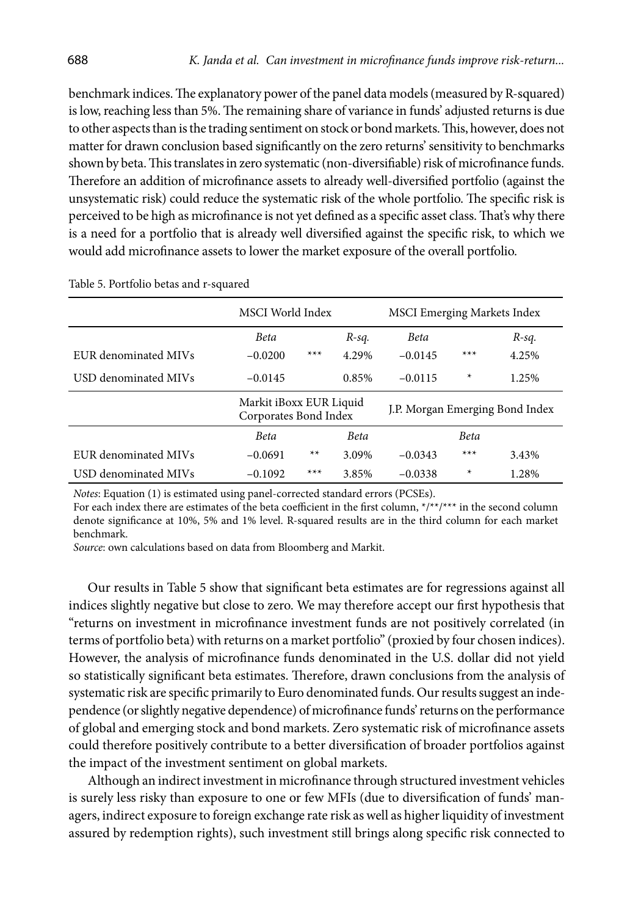benchmark indices. The explanatory power of the panel data models (measured by R-squared) is low, reaching less than 5%. The remaining share of variance in funds' adjusted returns is due to other aspects than is the trading sentiment on stock or bond markets. This, however, does not matter for drawn conclusion based significantly on the zero returns' sensitivity to benchmarks shown by beta. This translates in zero systematic (non-diversifiable) risk of microfinance funds. Therefore an addition of microfinance assets to already well-diversified portfolio (against the unsystematic risk) could reduce the systematic risk of the whole portfolio. The specific risk is perceived to be high as microfinance is not yet defined as a specific asset class. That's why there is a need for a portfolio that is already well diversified against the specific risk, to which we would add microfinance assets to lower the market exposure of the overall portfolio.

|                      | MSCI World Index                                 |       |       | MSCI Emerging Markets Index     |             |          |
|----------------------|--------------------------------------------------|-------|-------|---------------------------------|-------------|----------|
|                      | <b>Beta</b><br>$R$ -sq.                          |       |       | <b>Beta</b>                     |             | $R$ -sq. |
| EUR denominated MIVs | $-0.0200$                                        | $***$ | 4.29% | $-0.0145$                       | $***$       | 4.25%    |
| USD denominated MIVs | $-0.0145$<br>0.85%                               |       |       | $-0.0115$                       | ∗           | 1.25%    |
|                      | Markit iBoxx EUR Liquid<br>Corporates Bond Index |       |       | J.P. Morgan Emerging Bond Index |             |          |
|                      | <b>Beta</b><br><b>Beta</b>                       |       |       |                                 | <b>Beta</b> |          |
| EUR denominated MIVs | $**$<br>3.09%<br>$-0.0691$                       |       |       | $-0.0343$                       | $***$       | 3.43%    |
| USD denominated MIVs | $-0.1092$                                        | $***$ | 3.85% | $-0.0338$                       | $\star$     | 1.28%    |

Table 5. Portfolio betas and r-squared

*Notes*: Equation (1) is estimated using panel-corrected standard errors (PCSEs).

For each index there are estimates of the beta coefficient in the first column, \*/\*\*/\*\*\* in the second column denote significance at 10%, 5% and 1% level. R-squared results are in the third column for each market benchmark.

*Source*: own calculations based on data from Bloomberg and Markit.

Our results in Table 5 show that significant beta estimates are for regressions against all indices slightly negative but close to zero. We may therefore accept our first hypothesis that "returns on investment in microfinance investment funds are not positively correlated (in terms of portfolio beta) with returns on a market portfolio" (proxied by four chosen indices). However, the analysis of microfinance funds denominated in the U.S. dollar did not yield so statistically significant beta estimates. Therefore, drawn conclusions from the analysis of systematic risk are specific primarily to Euro denominated funds. Our results suggest an independence (or slightly negative dependence) of microfinance funds' returns on the performance of global and emerging stock and bond markets. Zero systematic risk of microfinance assets could therefore positively contribute to a better diversification of broader portfolios against the impact of the investment sentiment on global markets.

Although an indirect investment in microfinance through structured investment vehicles is surely less risky than exposure to one or few MFIs (due to diversification of funds' managers, indirect exposure to foreign exchange rate risk as well as higher liquidity of investment assured by redemption rights), such investment still brings along specific risk connected to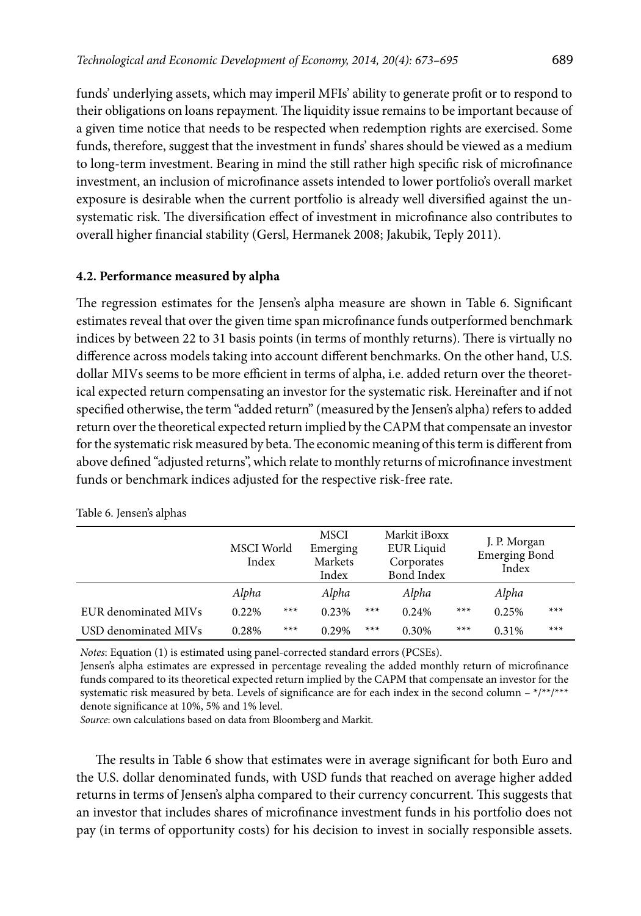funds' underlying assets, which may imperil MFIs' ability to generate profit or to respond to their obligations on loans repayment. The liquidity issue remains to be important because of a given time notice that needs to be respected when redemption rights are exercised. Some funds, therefore, suggest that the investment in funds' shares should be viewed as a medium to long-term investment. Bearing in mind the still rather high specific risk of microfinance investment, an inclusion of microfinance assets intended to lower portfolio's overall market exposure is desirable when the current portfolio is already well diversified against the unsystematic risk. The diversification effect of investment in microfinance also contributes to overall higher financial stability (Gersl, Hermanek 2008; Jakubik, Teply 2011).

## **4.2. Performance measured by alpha**

The regression estimates for the Jensen's alpha measure are shown in Table 6. Significant estimates reveal that over the given time span microfinance funds outperformed benchmark indices by between 22 to 31 basis points (in terms of monthly returns). There is virtually no difference across models taking into account different benchmarks. On the other hand, U.S. dollar MIVs seems to be more efficient in terms of alpha, i.e. added return over the theoretical expected return compensating an investor for the systematic risk. Hereinafter and if not specified otherwise, the term "added return" (measured by the Jensen's alpha) refers to added return over the theoretical expected return implied by the CAPM that compensate an investor for the systematic risk measured by beta. The economic meaning of this term is different from above defined "adjusted returns", which relate to monthly returns of microfinance investment funds or benchmark indices adjusted for the respective risk-free rate.

|                      | MSCI World<br>Index |       | <b>MSCI</b><br>Emerging<br>Markets<br>Index | Markit iBoxx<br><b>EUR Liquid</b><br>Corporates<br>Bond Index |       |       | J. P. Morgan<br><b>Emerging Bond</b><br>Index |       |
|----------------------|---------------------|-------|---------------------------------------------|---------------------------------------------------------------|-------|-------|-----------------------------------------------|-------|
|                      | Alpha               |       | Alpha                                       |                                                               | Alpha |       | Alpha                                         |       |
| EUR denominated MIVs | 0.22%               | $***$ | 0.23%                                       | $***$                                                         | 0.24% | $***$ | 0.25%                                         | $***$ |
| USD denominated MIVs | 0.28%               | $***$ | 0.29%                                       | $***$                                                         | 0.30% | $***$ | 0.31%                                         | $***$ |

Table 6. Jensen's alphas

*Notes*: Equation (1) is estimated using panel-corrected standard errors (PCSEs).

Jensen's alpha estimates are expressed in percentage revealing the added monthly return of microfinance funds compared to its theoretical expected return implied by the CAPM that compensate an investor for the systematic risk measured by beta. Levels of significance are for each index in the second column - \*/\*\*/\*\*\* denote significance at 10%, 5% and 1% level.

*Source*: own calculations based on data from Bloomberg and Markit.

The results in Table 6 show that estimates were in average significant for both Euro and the U.S. dollar denominated funds, with USD funds that reached on average higher added returns in terms of Jensen's alpha compared to their currency concurrent. This suggests that an investor that includes shares of microfinance investment funds in his portfolio does not pay (in terms of opportunity costs) for his decision to invest in socially responsible assets.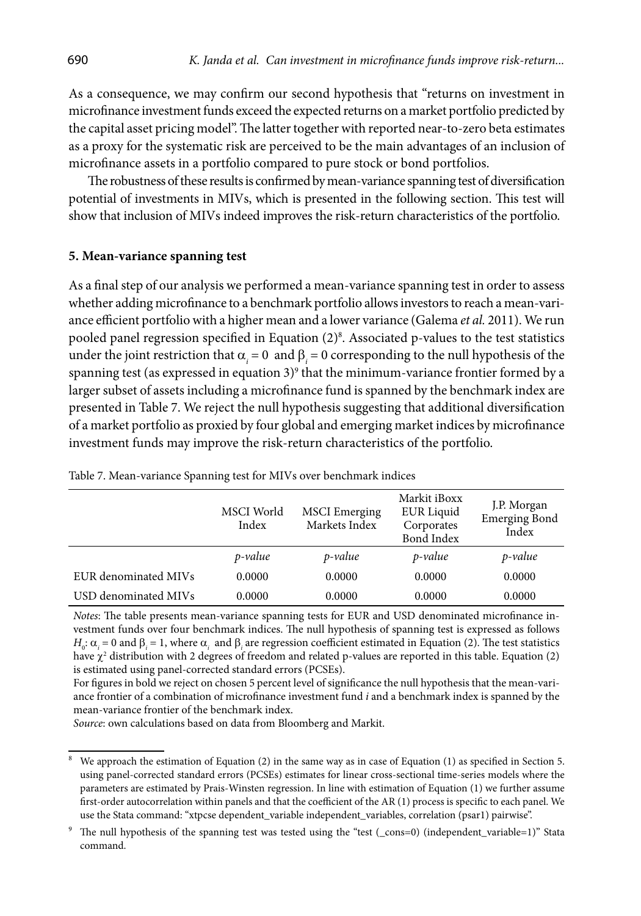As a consequence, we may confirm our second hypothesis that "returns on investment in microfinance investment funds exceed the expected returns on a market portfolio predicted by the capital asset pricing model". The latter together with reported near-to-zero beta estimates as a proxy for the systematic risk are perceived to be the main advantages of an inclusion of microfinance assets in a portfolio compared to pure stock or bond portfolios.

The robustness of these results is confirmed by mean-variance spanning test of diversification potential of investments in MIVs, which is presented in the following section. This test will show that inclusion of MIVs indeed improves the risk-return characteristics of the portfolio.

## **5. Mean-variance spanning test**

As a final step of our analysis we performed a mean-variance spanning test in order to assess whether adding microfinance to a benchmark portfolio allows investors to reach a mean-variance efficient portfolio with a higher mean and a lower variance (Galema *et al.* 2011). We run pooled panel regression specified in Equation (2)8 . Associated p-values to the test statistics under the joint restriction that  $\alpha_i = 0$  and  $\beta_i = 0$  corresponding to the null hypothesis of the spanning test (as expressed in equation 3) $^{\circ}$  that the minimum-variance frontier formed by a larger subset of assets including a microfinance fund is spanned by the benchmark index are presented in Table 7. We reject the null hypothesis suggesting that additional diversification of a market portfolio as proxied by four global and emerging market indices by microfinance investment funds may improve the risk-return characteristics of the portfolio.

|                      | MSCI World<br>Index | <b>MSCI</b> Emerging<br>Markets Index | Markit iBoxx<br>EUR Liquid<br>Corporates<br>Bond Index | J.P. Morgan<br><b>Emerging Bond</b><br>Index |
|----------------------|---------------------|---------------------------------------|--------------------------------------------------------|----------------------------------------------|
|                      | $p$ -value          | $p$ -value                            | $p$ -value                                             | p-value                                      |
| EUR denominated MIVs | 0.0000              | 0.0000                                | 0.0000                                                 | 0.0000                                       |
| USD denominated MIVs | 0.0000              | 0.0000                                | 0.0000                                                 | 0.0000                                       |

Table 7. Mean-variance Spanning test for MIVs over benchmark indices

*Notes*: The table presents mean-variance spanning tests for EUR and USD denominated microfinance investment funds over four benchmark indices. The null hypothesis of spanning test is expressed as follows *H*<sub>0</sub>:  $\alpha$ <sub>*i*</sub> = 0 and  $\beta$ <sub>*i*</sub> = 1, where  $\alpha$ <sub>*i*</sub> and  $\beta$ <sub>*i*</sub> are regression coefficient estimated in Equation (2). The test statistics have  $\chi^2$  distribution with 2 degrees of freedom and related p-values are reported in this table. Equation (2) is estimated using panel-corrected standard errors (PCSEs).

For figures in bold we reject on chosen 5 percent level of significance the null hypothesis that the mean-variance frontier of a combination of microfinance investment fund *i* and a benchmark index is spanned by the mean-variance frontier of the benchmark index.

*Source*: own calculations based on data from Bloomberg and Markit.

<sup>8</sup> We approach the estimation of Equation (2) in the same way as in case of Equation (1) as specified in Section 5. using panel-corrected standard errors (PCSEs) estimates for linear cross-sectional time-series models where the parameters are estimated by Prais-Winsten regression. In line with estimation of Equation (1) we further assume first-order autocorrelation within panels and that the coefficient of the AR (1) process is specific to each panel. We use the Stata command: "xtpcse dependent\_variable independent\_variables, correlation (psar1) pairwise".

<sup>9</sup> The null hypothesis of the spanning test was tested using the "test (\_cons=0) (independent\_variable=1)" Stata command.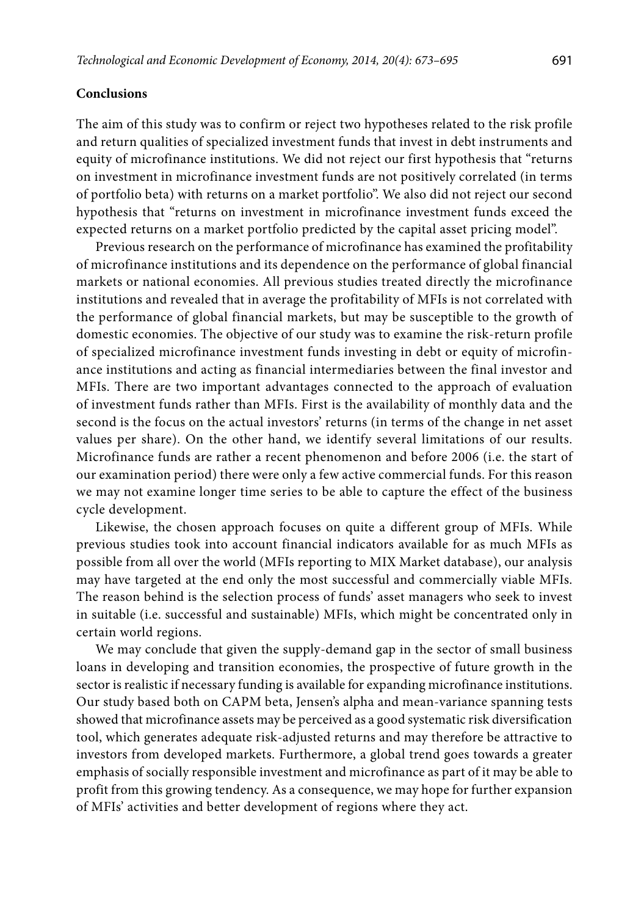## **Conclusions**

The aim of this study was to confirm or reject two hypotheses related to the risk profile and return qualities of specialized investment funds that invest in debt instruments and equity of microfinance institutions. We did not reject our first hypothesis that "returns on investment in microfinance investment funds are not positively correlated (in terms of portfolio beta) with returns on a market portfolio". We also did not reject our second hypothesis that "returns on investment in microfinance investment funds exceed the expected returns on a market portfolio predicted by the capital asset pricing model".

Previous research on the performance of microfinance has examined the profitability of microfinance institutions and its dependence on the performance of global financial markets or national economies. All previous studies treated directly the microfinance institutions and revealed that in average the profitability of MFIs is not correlated with the performance of global financial markets, but may be susceptible to the growth of domestic economies. The objective of our study was to examine the risk-return profile of specialized microfinance investment funds investing in debt or equity of microfinance institutions and acting as financial intermediaries between the final investor and MFIs. There are two important advantages connected to the approach of evaluation of investment funds rather than MFIs. First is the availability of monthly data and the second is the focus on the actual investors' returns (in terms of the change in net asset values per share). On the other hand, we identify several limitations of our results. Microfinance funds are rather a recent phenomenon and before 2006 (i.e. the start of our examination period) there were only a few active commercial funds. For this reason we may not examine longer time series to be able to capture the effect of the business cycle development.

Likewise, the chosen approach focuses on quite a different group of MFIs. While previous studies took into account financial indicators available for as much MFIs as possible from all over the world (MFIs reporting to MIX Market database), our analysis may have targeted at the end only the most successful and commercially viable MFIs. The reason behind is the selection process of funds' asset managers who seek to invest in suitable (i.e. successful and sustainable) MFIs, which might be concentrated only in certain world regions.

We may conclude that given the supply-demand gap in the sector of small business loans in developing and transition economies, the prospective of future growth in the sector is realistic if necessary funding is available for expanding microfinance institutions. Our study based both on CAPM beta, Jensen's alpha and mean-variance spanning tests showed that microfinance assets may be perceived as a good systematic risk diversification tool, which generates adequate risk-adjusted returns and may therefore be attractive to investors from developed markets. Furthermore, a global trend goes towards a greater emphasis of socially responsible investment and microfinance as part of it may be able to profit from this growing tendency. As a consequence, we may hope for further expansion of MFIs' activities and better development of regions where they act.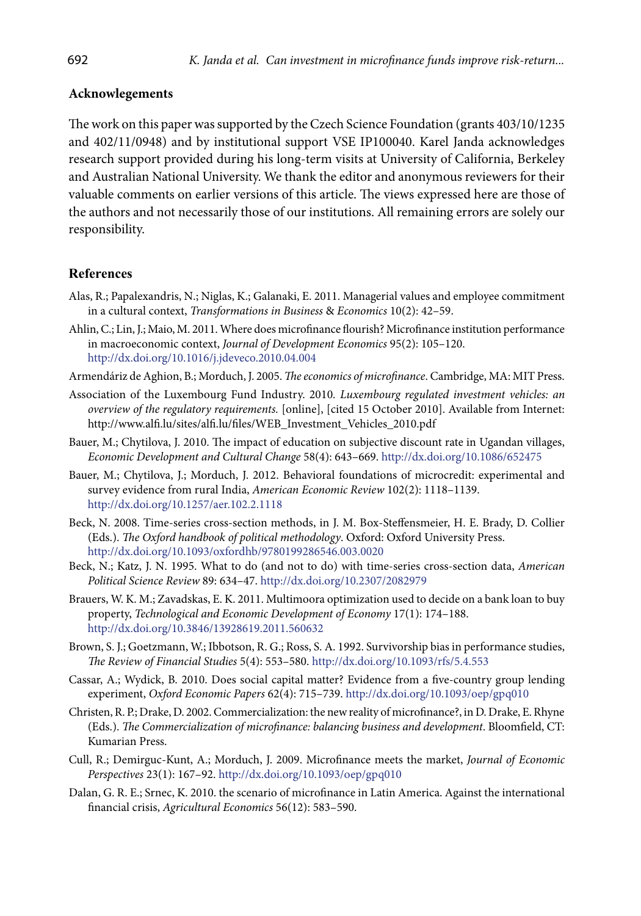## **Acknowlegements**

The work on this paper was supported by the Czech Science Foundation (grants 403/10/1235 and 402/11/0948) and by institutional support VSE IP100040. Karel Janda acknowledges research support provided during his long-term visits at University of California, Berkeley and Australian National University. We thank the editor and anonymous reviewers for their valuable comments on earlier versions of this article. The views expressed here are those of the authors and not necessarily those of our institutions. All remaining errors are solely our responsibility.

## **References**

- Alas, R.; Papalexandris, N.; Niglas, K.; Galanaki, E. 2011. Managerial values and employee commitment in a cultural context, *Transformations in Business* & *Economics* 10(2): 42–59.
- Ahlin, C.; Lin, J.; Maio, M. 2011. Where does microfinance flourish? Microfinance institution performance in macroeconomic context, *Journal of Development Economics* 95(2): 105–120. <http://dx.doi.org/10.1016/j.jdeveco.2010.04.004>
- Armendáriz de Aghion, B.; Morduch, J. 2005. *The economics of microfinance*. Cambridge, MA: MIT Press.
- Association of the Luxembourg Fund Industry. 2010*. Luxembourg regulated investment vehicles: an overview of the regulatory requirements.* [online], [cited 15 October 2010]. Available from Internet: [http://www.alfi.lu/sites/alfi.lu/files/WEB\\_Investment\\_Vehicles\\_2010.pdf](http://www.alfi.lu/sites/alfi.lu/files/WEB_Investment_Vehicles_2010.pdf)
- Bauer, M.; Chytilova, J. 2010. The impact of education on subjective discount rate in Ugandan villages, *Economic Development and Cultural Change* 58(4): 643–669.<http://dx.doi.org/10.1086/652475>
- Bauer, M.; Chytilova, J.; Morduch, J. 2012. Behavioral foundations of microcredit: experimental and survey evidence from rural India, *American Economic Review* 102(2): 1118–1139. <http://dx.doi.org/10.1257/aer.102.2.1118>
- Beck, N. 2008. Time-series cross-section methods, in J. M. Box-Steffensmeier, H. E. Brady, D. Collier (Eds.). *The Oxford handbook of political methodology*. Oxford: Oxford University Press. <http://dx.doi.org/10.1093/oxfordhb/9780199286546.003.0020>
- Beck, N.; Katz, J. N. 1995. What to do (and not to do) with time-series cross-section data, *American Political Science Review* 89: 634–47. <http://dx.doi.org/10.2307/2082979>
- Brauers, W. K. M.; Zavadskas, E. K. 2011. Multimoora optimization used to decide on a bank loan to buy property, *Technological and Economic Development of Economy* 17(1): 174–188. <http://dx.doi.org/10.3846/13928619.2011.560632>
- Brown, S. J.; Goetzmann, W.; Ibbotson, R. G.; Ross, S. A. 1992. Survivorship bias in performance studies, *The Review of Financial Studies* 5(4): 553–580. <http://dx.doi.org/10.1093/rfs/5.4.553>
- Cassar, A.; Wydick, B. 2010. Does social capital matter? Evidence from a five-country group lending experiment, *Oxford Economic Papers* 62(4): 715–739. <http://dx.doi.org/10.1093/oep/gpq010>
- Christen, R. P.; Drake, D. 2002. Commercialization: the new reality of microfinance?, in D. Drake, E. Rhyne (Eds.). *The Commercialization of microfinance: balancing business and development*. Bloomfield, CT: Kumarian Press.
- Cull, R.; Demirguc-Kunt, A.; Morduch, J. 2009. Microfinance meets the market, *Journal of Economic Perspectives* 23(1): 167–92.<http://dx.doi.org/10.1093/oep/gpq010>
- Dalan, G. R. E.; Srnec, K. 2010. the scenario of microfinance in Latin America. Against the international financial crisis, *Agricultural Economics* 56(12): 583–590.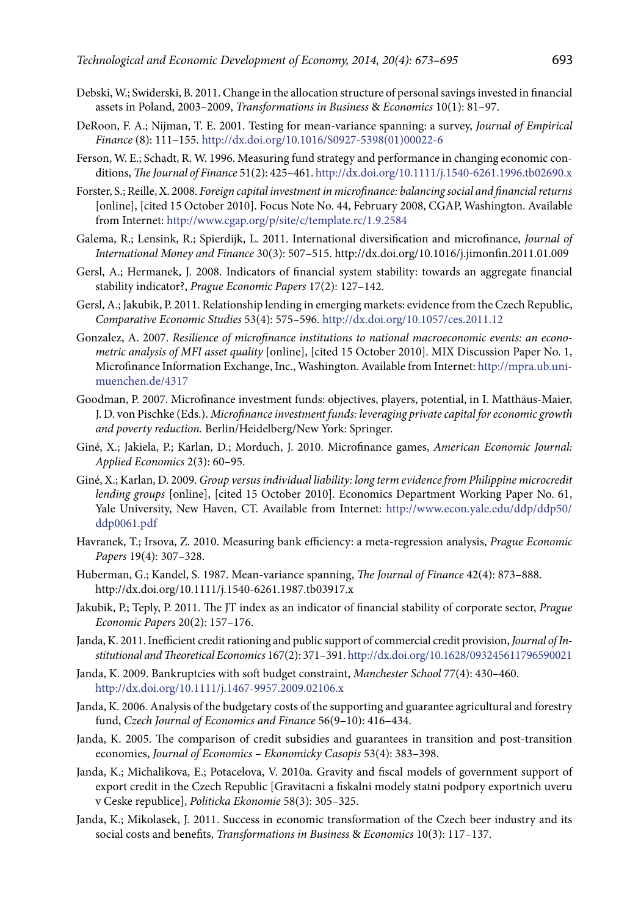- Debski, W.; Swiderski, B. 2011. Change in the allocation structure of personal savings invested in financial assets in Poland, 2003–2009, *Transformations in Business* & *Economics* 10(1): 81–97.
- DeRoon, F. A.; Nijman, T. E. 2001. Testing for mean-variance spanning: a survey, *Journal of Empirical Finance* (8): 111–155. [http://dx.doi.org/10.1016/S0927-5398\(01\)00022-6](http://dx.doi.org/10.1016/S0927-5398(01)00022-6)
- Ferson, W. E.; Schadt, R. W. 1996. Measuring fund strategy and performance in changing economic conditions, *The Journal of Finance* 51(2): 425–461.<http://dx.doi.org/10.1111/j.1540-6261.1996.tb02690.x>
- Forster, S.; Reille, X. 2008. *Foreign capital investment in microfinance: balancing social and financial returns*  [online], [cited 15 October 2010]. Focus Note No. 44, February 2008, CGAP, Washington. Available from Internet: <http://www.cgap.org/p/site/c/template.rc/1.9.2584>
- Galema, R.; Lensink, R.; Spierdijk, L. 2011. International diversification and microfinance, *Journal of International Money and Finance* 30(3): 507–515. <http://dx.doi.org/10.1016/j.jimonfin.2011.01.009>
- Gersl, A.; Hermanek, J. 2008. Indicators of financial system stability: towards an aggregate financial stability indicator?, *Prague Economic Papers* 17(2): 127–142.
- Gersl, A.; Jakubik, P. 2011. Relationship lending in emerging markets: evidence from the Czech Republic, *Comparative Economic Studies* 53(4): 575–596. <http://dx.doi.org/10.1057/ces.2011.12>
- Gonzalez, A. 2007. *Resilience of microfinance institutions to national macroeconomic events: an econometric analysis of MFI asset quality* [online], [cited 15 October 2010]. MIX Discussion Paper No. 1, Microfinance Information Exchange, Inc., Washington. Available from Internet: [http://mpra.ub.uni](http://mpra.ub.uni-muenchen.de/4317)[muenchen.de/4317](http://mpra.ub.uni-muenchen.de/4317)
- Goodman, P. 2007. Microfinance investment funds: objectives, players, potential, in I. Matthäus-Maier, J. D. von Pischke (Eds.). *Microfinance investment funds: leveraging private capital for economic growth and poverty reduction.* Berlin/Heidelberg/New York: Springer.
- Giné, X.; Jakiela, P.; Karlan, D.; Morduch, J. 2010. Microfinance games, *[American Economic Journal:](http://ideas.repec.org/s/aea/aejapp.html) [Applied Economics](http://ideas.repec.org/s/aea/aejapp.html)* 2(3): 60–95.
- Giné, X.; Karlan, D. 2009. *Group versus individual liability: long term evidence from Philippine microcredit lending groups* [online], [cited 15 October 2010]. Economics Department Working Paper No. 61, Yale University, New Haven, CT. Available from Internet: [http://www.econ.yale.edu/ddp/ddp50/](http://www.econ.yale.edu/ddp/ddp50/ddp0061.pdf) [ddp0061.pdf](http://www.econ.yale.edu/ddp/ddp50/ddp0061.pdf)
- Havranek, T.; Irsova, Z. 2010. Measuring bank efficiency: a meta-regression analysis, *Prague Economic Papers* 19(4): 307–328.
- Huberman, G.; Kandel, S. 1987. Mean-variance spanning, *The Journal of Finance* 42(4): 873–888. <http://dx.doi.org/10.1111/j.1540-6261.1987.tb03917.x>
- Jakubik, P.; Teply, P. 2011. The JT index as an indicator of financial stability of corporate sector, *Prague Economic Papers* 20(2): 157–176.
- Janda, K. 2011. Inefficient credit rationing and public support of commercial credit provision, *Journal of Institutional and Theoretical Economics* 167(2): 371–391.<http://dx.doi.org/10.1628/093245611796590021>
- Janda, K. 2009. Bankruptcies with soft budget constraint, *Manchester School* 77(4): 430–460. <http://dx.doi.org/10.1111/j.1467-9957.2009.02106.x>
- Janda, K. 2006. Analysis of the budgetary costs of the supporting and guarantee agricultural and forestry fund, *Czech Journal of Economics and Finance* 56(9–10): 416–434.
- Janda, K. 2005. The comparison of credit subsidies and guarantees in transition and post-transition economies, *Journal of Economics – Ekonomicky Casopis* 53(4): 383–398.
- Janda, K.; Michalikova, E.; Potacelova, V. 2010a. Gravity and fiscal models of government support of export credit in the Czech Republic [Gravitacni a fiskalni modely statni podpory exportnich uveru v Ceske republice], *Politicka Ekonomie* 58(3): 305–325.
- Janda, K.; Mikolasek, J. 2011. Success in economic transformation of the Czech beer industry and its social costs and benefits, *Transformations in Business* & *Economics* 10(3): 117–137.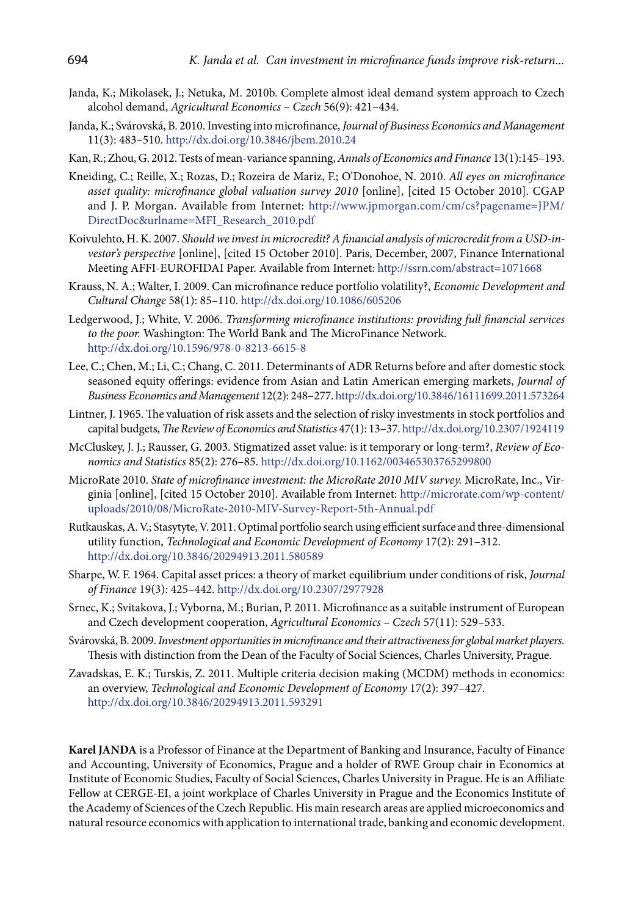- Janda, K.; Mikolasek, J.; Netuka, M. 2010b. Complete almost ideal demand system approach to Czech alcohol demand, *Agricultural Economics – Czech* 56(9): 421–434.
- Janda, K.; Svárovská, B. 2010. Investing into microfinance, *Journal of Business Economics and Management* 11(3): 483–510.<http://dx.doi.org/10.3846/jbem.2010.24>
- Kan, R.; Zhou, G. 2012. Tests of mean-variance spanning, *Annals of Economics and Finance* 13(1):145–193.
- Kneiding, C.; Reille, X.; Rozas, D.; Rozeira de Mariz, F.; O'Donohoe, N. 2010. *All eyes on microfinance asset quality: microfinance global valuation survey 2010* [online], [cited 15 October 2010]. CGAP and J. P. Morgan. Available from Internet: [http://www.jpmorgan.com/cm/cs?pagename=JPM/](http://www.jpmorgan.com/cm/cs?pagename=JPM/DirectDoc&urlname=MFI_Research_2010.pdf) [DirectDoc&urlname=MFI\\_Research\\_2010.pdf](http://www.jpmorgan.com/cm/cs?pagename=JPM/DirectDoc&urlname=MFI_Research_2010.pdf)
- Koivulehto, H. K. 2007. *Should we invest in microcredit? A financial analysis of microcredit from a USD-investor's perspective* [online], [cited 15 October 2010]. Paris, December, 2007, Finance International Meeting AFFI-EUROFIDAI Paper. Available from Internet:<http://ssrn.com/abstract=1071668>
- Krauss, N. A.; Walter, I. 2009. Can microfinance reduce portfolio volatility?, *Economic Development and Cultural Change* 58(1): 85–110.<http://dx.doi.org/10.1086/605206>
- Ledgerwood, J.; White, V. 2006. *Transforming microfinance institutions: providing full financial services to the poor.* Washington: The World Bank and The MicroFinance Network. <http://dx.doi.org/10.1596/978-0-8213-6615-8>
- Lee, C.; Chen, M.; Li, C.; Chang, C. 2011. Determinants of ADR Returns before and after domestic stock seasoned equity offerings: evidence from Asian and Latin American emerging markets, *Journal of Business Economics and Management* 12(2): 248–277.<http://dx.doi.org/10.3846/16111699.2011.573264>
- Lintner, J. 1965. The valuation of risk assets and the selection of risky investments in stock portfolios and capital budgets, *The Review of Economics and Statistics* 47(1): 13–37.<http://dx.doi.org/10.2307/1924119>
- McCluskey, J. J.; Rausser, G. 2003. Stigmatized asset value: is it temporary or long-term?, *Review of Economics and Statistics* 85(2): 276–85. <http://dx.doi.org/10.1162/003465303765299800>
- MicroRate 2010. *State of microfinance investment: the MicroRate 2010 MIV survey.* MicroRate, Inc., Virginia [online], [cited 15 October 2010]. Available from Internet: [http://microrate.com/wp-content/](http://microrate.com/wp-content/uploads/2010/08/MicroRate-2010-MIV-Survey-Report-5th-Annual.pdf) [uploads/2010/08/MicroRate-2010-MIV-Survey-Report-5th-Annual.pdf](http://microrate.com/wp-content/uploads/2010/08/MicroRate-2010-MIV-Survey-Report-5th-Annual.pdf)
- Rutkauskas, A. V.; Stasytyte, V. 2011. Optimal portfolio search using efficient surface and three-dimensional utility function, *Technological and Economic Development of Economy* 17(2): 291–312. <http://dx.doi.org/10.3846/20294913.2011.580589>
- Sharpe, W. F. 1964. Capital asset prices: a theory of market equilibrium under conditions of risk, *Journal of Finance* 19(3): 425–442. <http://dx.doi.org/10.2307/2977928>
- Srnec, K.; Svitakova, J.; Vyborna, M.; Burian, P. 2011. Microfinance as a suitable instrument of European and Czech development cooperation, *Agricultural Economics – Czech* 57(11): 529–533.
- Svárovská, B. 2009. *Investment opportunities in microfinance and their attractiveness for global market players.* Thesis with distinction from the Dean of the Faculty of Social Sciences, Charles University, Prague.
- Zavadskas, E. K.; Turskis, Z. 2011. Multiple criteria decision making (MCDM) methods in economics: an overview, *Technological and Economic Development of Economy* 17(2): 397–427. <http://dx.doi.org/10.3846/20294913.2011.593291>

**Karel JANDA** is a Professor of Finance at the Department of Banking and Insurance, Faculty of Finance and Accounting, University of Economics, Prague and a holder of RWE Group chair in Economics at Institute of Economic Studies, Faculty of Social Sciences, Charles University in Prague. He is an Affiliate Fellow at CERGE-EI, a joint workplace of Charles University in Prague and the Economics Institute of the Academy of Sciences of the Czech Republic. His main research areas are applied microeconomics and natural resource economics with application to international trade, banking and economic development.